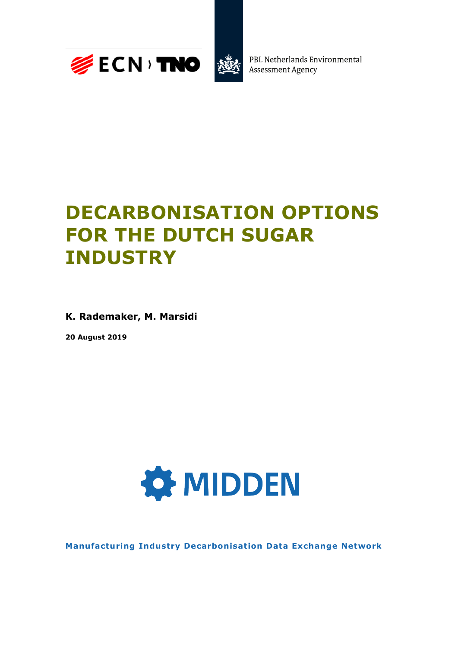



PBL Netherlands Environmental **Assessment Agency** 

## **DECARBONISATION OPTIONS FOR THE DUTCH SUGAR INDUSTRY**

**K. Rademaker, M. Marsidi**

**20 August 2019**



**Manufacturing Industry Decarbonisation Data Exchange Network**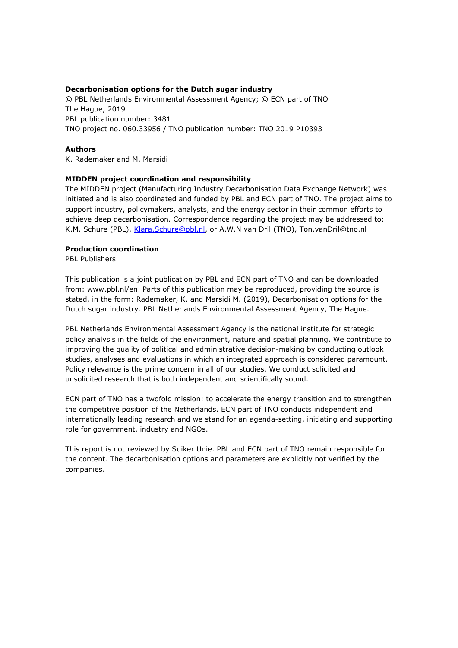#### **Decarbonisation options for the Dutch sugar industry**

© PBL Netherlands Environmental Assessment Agency; © ECN part of TNO The Hague, 2019 PBL publication number: 3481 TNO project no. 060.33956 / TNO publication number: TNO 2019 P10393

#### **Authors**

K. Rademaker and M. Marsidi

### **MIDDEN project coordination and responsibility**

The MIDDEN project (Manufacturing Industry Decarbonisation Data Exchange Network) was initiated and is also coordinated and funded by PBL and ECN part of TNO. The project aims to support industry, policymakers, analysts, and the energy sector in their common efforts to achieve deep decarbonisation. Correspondence regarding the project may be addressed to: K.M. Schure (PBL), [Klara.Schure@pbl.nl,](mailto:Klara.Schure@pbl.nl) or A.W.N van Dril (TNO), Ton.vanDril@tno.nl

#### **Production coordination**

PBL Publishers

This publication is a joint publication by PBL and ECN part of TNO and can be downloaded from: www.pbl.nl/en. Parts of this publication may be reproduced, providing the source is stated, in the form: Rademaker, K. and Marsidi M. (2019), Decarbonisation options for the Dutch sugar industry. PBL Netherlands Environmental Assessment Agency, The Hague.

PBL Netherlands Environmental Assessment Agency is the national institute for strategic policy analysis in the fields of the environment, nature and spatial planning. We contribute to improving the quality of political and administrative decision-making by conducting outlook studies, analyses and evaluations in which an integrated approach is considered paramount. Policy relevance is the prime concern in all of our studies. We conduct solicited and unsolicited research that is both independent and scientifically sound.

ECN part of TNO has a twofold mission: to accelerate the energy transition and to strengthen the competitive position of the Netherlands. ECN part of TNO conducts independent and internationally leading research and we stand for an agenda-setting, initiating and supporting role for government, industry and NGOs.

This report is not reviewed by Suiker Unie. PBL and ECN part of TNO remain responsible for the content. The decarbonisation options and parameters are explicitly not verified by the companies.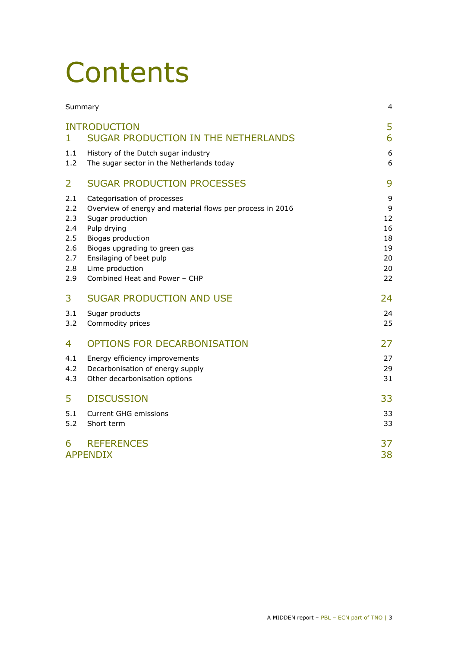## **Contents**

|                                                             | Summary                                                                                                                                                                                                                                                          | 4                                                |
|-------------------------------------------------------------|------------------------------------------------------------------------------------------------------------------------------------------------------------------------------------------------------------------------------------------------------------------|--------------------------------------------------|
| 1                                                           | <b>INTRODUCTION</b><br>SUGAR PRODUCTION IN THE NETHERLANDS                                                                                                                                                                                                       | 5<br>6                                           |
| 1.1<br>1.2                                                  | History of the Dutch sugar industry<br>The sugar sector in the Netherlands today                                                                                                                                                                                 | 6<br>6                                           |
| 2                                                           | <b>SUGAR PRODUCTION PROCESSES</b>                                                                                                                                                                                                                                | 9                                                |
| 2.1<br>2.2<br>2.3<br>2.4<br>2.5<br>2.6<br>2.7<br>2.8<br>2.9 | Categorisation of processes<br>Overview of energy and material flows per process in 2016<br>Sugar production<br>Pulp drying<br>Biogas production<br>Biogas upgrading to green gas<br>Ensilaging of beet pulp<br>Lime production<br>Combined Heat and Power - CHP | 9<br>9<br>12<br>16<br>18<br>19<br>20<br>20<br>22 |
| 3                                                           | <b>SUGAR PRODUCTION AND USE</b>                                                                                                                                                                                                                                  | 24                                               |
| 3.1<br>3.2                                                  | Sugar products<br>Commodity prices                                                                                                                                                                                                                               | 24<br>25                                         |
| 4                                                           | OPTIONS FOR DECARBONISATION                                                                                                                                                                                                                                      | 27                                               |
| 4.1<br>4.2<br>4.3                                           | Energy efficiency improvements<br>Decarbonisation of energy supply<br>Other decarbonisation options                                                                                                                                                              | 27<br>29<br>31                                   |
| 5                                                           | <b>DISCUSSION</b>                                                                                                                                                                                                                                                | 33                                               |
| 5.1<br>5.2                                                  | <b>Current GHG emissions</b><br>Short term                                                                                                                                                                                                                       | 33<br>33                                         |
| 6                                                           | <b>REFERENCES</b><br><b>APPENDIX</b>                                                                                                                                                                                                                             | 37<br>38                                         |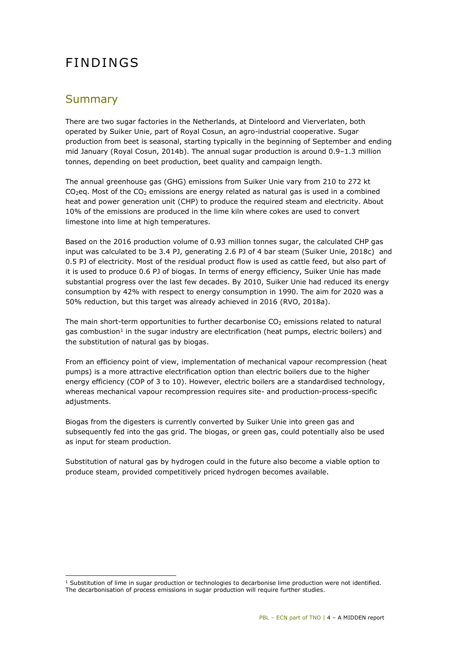## FINDINGS

## <span id="page-3-0"></span>Summary

There are two sugar factories in the Netherlands, at Dinteloord and Vierverlaten, both operated by Suiker Unie, part of Royal Cosun, an agro-industrial cooperative. Sugar production from beet is seasonal, starting typically in the beginning of September and ending mid January (Royal Cosun, 2014b). The annual sugar production is around 0.9–1.3 million tonnes, depending on beet production, beet quality and campaign length.

The annual greenhouse gas (GHG) emissions from Suiker Unie vary from 210 to 272 kt  $CO<sub>2</sub>$ eq. Most of the  $CO<sub>2</sub>$  emissions are energy related as natural gas is used in a combined heat and power generation unit (CHP) to produce the required steam and electricity. About 10% of the emissions are produced in the lime kiln where cokes are used to convert limestone into lime at high temperatures.

Based on the 2016 production volume of 0.93 million tonnes sugar, the calculated CHP gas input was calculated to be 3.4 PJ, generating 2.6 PJ of 4 bar steam (Suiker Unie, 2018c) and 0.5 PJ of electricity. Most of the residual product flow is used as cattle feed, but also part of it is used to produce 0.6 PJ of biogas. In terms of energy efficiency, Suiker Unie has made substantial progress over the last few decades. By 2010, Suiker Unie had reduced its energy consumption by 42% with respect to energy consumption in 1990. The aim for 2020 was a 50% reduction, but this target was already achieved in 2016 (RVO, 2018a).

The main short-term opportunities to further decarbonise  $CO<sub>2</sub>$  emissions related to natural gas combustion<sup>1</sup> in the sugar industry are electrification (heat pumps, electric boilers) and the substitution of natural gas by biogas.

From an efficiency point of view, implementation of mechanical vapour recompression (heat pumps) is a more attractive electrification option than electric boilers due to the higher energy efficiency (COP of 3 to 10). However, electric boilers are a standardised technology, whereas mechanical vapour recompression requires site- and production-process-specific adjustments.

Biogas from the digesters is currently converted by Suiker Unie into green gas and subsequently fed into the gas grid. The biogas, or green gas, could potentially also be used as input for steam production.

Substitution of natural gas by hydrogen could in the future also become a viable option to produce steam, provided competitively priced hydrogen becomes available.

i, <sup>1</sup> Substitution of lime in sugar production or technologies to decarbonise lime production were not identified. The decarbonisation of process emissions in sugar production will require further studies.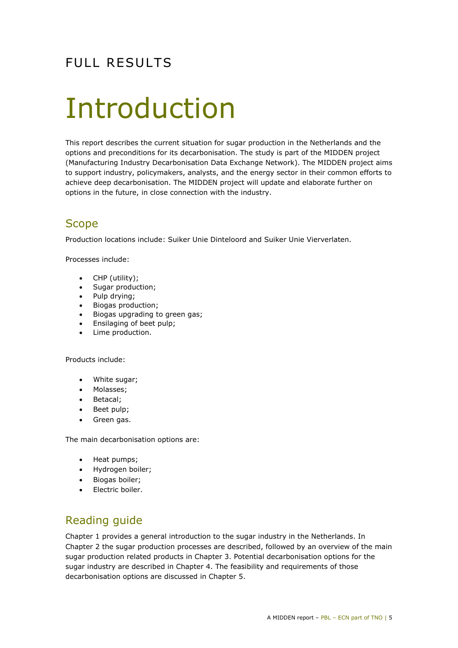## FULL RESULTS

## <span id="page-4-0"></span>Introduction

This report describes the current situation for sugar production in the Netherlands and the options and preconditions for its decarbonisation. The study is part of the MIDDEN project (Manufacturing Industry Decarbonisation Data Exchange Network). The MIDDEN project aims to support industry, policymakers, analysts, and the energy sector in their common efforts to achieve deep decarbonisation. The MIDDEN project will update and elaborate further on options in the future, in close connection with the industry.

## **Scope**

Production locations include: Suiker Unie Dinteloord and Suiker Unie Vierverlaten.

Processes include:

- CHP (utility);
- Sugar production;
- Pulp drying;
- Biogas production;
- Biogas upgrading to green gas;
- Ensilaging of beet pulp;
- Lime production.

#### Products include:

- White sugar;
- Molasses;
- Betacal;
- Beet pulp;
- Green gas.

The main decarbonisation options are:

- Heat pumps;
- Hydrogen boiler;
- Biogas boiler;
- Electric boiler.

## Reading guide

Chapter [1](#page-5-0) provides a general introduction to the sugar industry in the Netherlands. In Chapter [2](#page-8-0) the sugar production processes are described, followed by an overview of the main sugar production related products in Chapter [3.](#page-23-0) Potential decarbonisation options for the sugar industry are described in Chapter [4.](#page-26-0) The feasibility and requirements of those decarbonisation options are discussed in Chapter [5.](#page-32-0)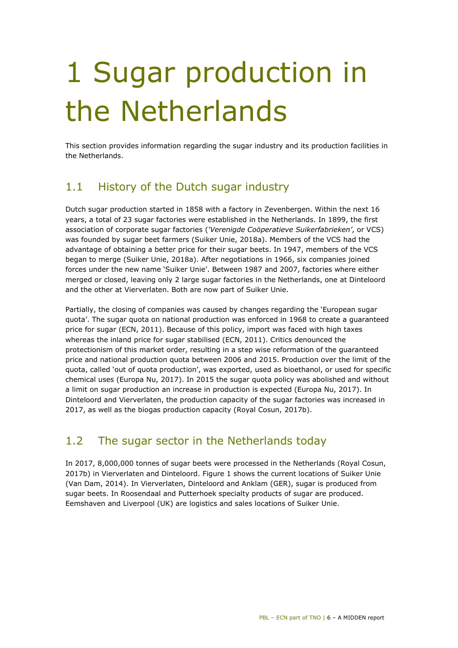## <span id="page-5-0"></span>1 Sugar production in the Netherlands

<span id="page-5-1"></span>This section provides information regarding the sugar industry and its production facilities in the Netherlands.

## 1.1 History of the Dutch sugar industry

Dutch sugar production started in 1858 with a factory in Zevenbergen. Within the next 16 years, a total of 23 sugar factories were established in the Netherlands. In 1899, the first association of corporate sugar factories (*'Verenigde Coöperatieve Suikerfabrieken'*, or VCS) was founded by sugar beet farmers (Suiker Unie, 2018a). Members of the VCS had the advantage of obtaining a better price for their sugar beets. In 1947, members of the VCS began to merge (Suiker Unie, 2018a). After negotiations in 1966, six companies joined forces under the new name 'Suiker Unie'. Between 1987 and 2007, factories where either merged or closed, leaving only 2 large sugar factories in the Netherlands, one at Dinteloord and the other at Vierverlaten. Both are now part of Suiker Unie.

Partially, the closing of companies was caused by changes regarding the 'European sugar quota'. The sugar quota on national production was enforced in 1968 to create a guaranteed price for sugar (ECN, 2011). Because of this policy, import was faced with high taxes whereas the inland price for sugar stabilised (ECN, 2011). Critics denounced the protectionism of this market order, resulting in a step wise reformation of the guaranteed price and national production quota between 2006 and 2015. Production over the limit of the quota, called 'out of quota production', was exported, used as bioethanol, or used for specific chemical uses (Europa Nu, 2017). In 2015 the sugar quota policy was abolished and without a limit on sugar production an increase in production is expected (Europa Nu, 2017). In Dinteloord and Vierverlaten, the production capacity of the sugar factories was increased in 2017, as well as the biogas production capacity (Royal Cosun, 2017b).

## <span id="page-5-2"></span>1.2 The sugar sector in the Netherlands today

In 2017, 8,000,000 tonnes of sugar beets were processed in the Netherlands (Royal Cosun, 2017b) in Vierverlaten and Dinteloord. [Figure 1](#page-6-0) shows the current locations of Suiker Unie (Van Dam, 2014). In Vierverlaten, Dinteloord and Anklam (GER), sugar is produced from sugar beets. In Roosendaal and Putterhoek specialty products of sugar are produced. Eemshaven and Liverpool (UK) are logistics and sales locations of Suiker Unie.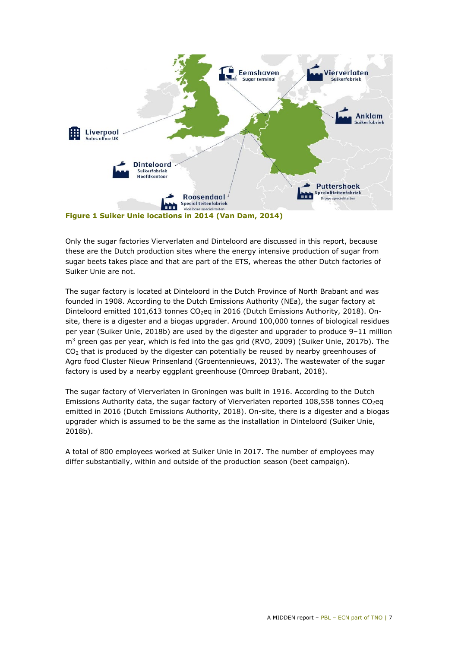

**Figure 1 Suiker Unie locations in 2014 (Van Dam, 2014)**

<span id="page-6-0"></span>Only the sugar factories Vierverlaten and Dinteloord are discussed in this report, because these are the Dutch production sites where the energy intensive production of sugar from sugar beets takes place and that are part of the ETS, whereas the other Dutch factories of Suiker Unie are not.

The sugar factory is located at Dinteloord in the Dutch Province of North Brabant and was founded in 1908. According to the Dutch Emissions Authority (NEa), the sugar factory at Dinteloord emitted 101,613 tonnes CO<sub>2</sub>eq in 2016 (Dutch Emissions Authority, 2018). Onsite, there is a digester and a biogas upgrader. Around 100,000 tonnes of biological residues per year (Suiker Unie, 2018b) are used by the digester and upgrader to produce 9–11 million m<sup>3</sup> green gas per year, which is fed into the gas grid (RVO, 2009) (Suiker Unie, 2017b). The  $CO<sub>2</sub>$  that is produced by the digester can potentially be reused by nearby greenhouses of Agro food Cluster Nieuw Prinsenland (Groentennieuws, 2013). The wastewater of the sugar factory is used by a nearby eggplant greenhouse (Omroep Brabant, 2018).

The sugar factory of Vierverlaten in Groningen was built in 1916. According to the Dutch Emissions Authority data, the sugar factory of Vierverlaten reported  $108,558$  tonnes CO<sub>2</sub>eq emitted in 2016 (Dutch Emissions Authority, 2018). On-site, there is a digester and a biogas upgrader which is assumed to be the same as the installation in Dinteloord (Suiker Unie, 2018b).

A total of 800 employees worked at Suiker Unie in 2017. The number of employees may differ substantially, within and outside of the production season (beet campaign).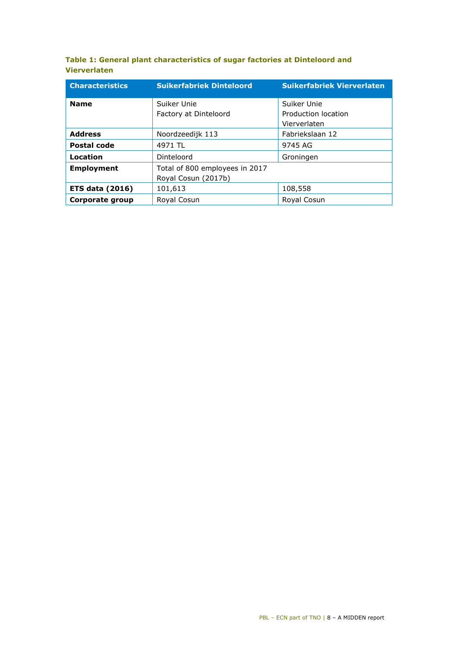| Table 1: General plant characteristics of sugar factories at Dinteloord and |  |  |
|-----------------------------------------------------------------------------|--|--|
| <b>Vierverlaten</b>                                                         |  |  |

| <b>Characteristics</b> | <b>Suikerfabriek Dinteloord</b> | <b>Suikerfabriek Vierverlaten</b>   |  |
|------------------------|---------------------------------|-------------------------------------|--|
| <b>Name</b>            | Suiker Unie                     | Suiker Unie                         |  |
|                        | Factory at Dinteloord           | Production location<br>Vierverlaten |  |
| <b>Address</b>         | Noordzeedijk 113                | Fabriekslaan 12                     |  |
| <b>Postal code</b>     | 4971 TL                         | 9745 AG                             |  |
| <b>Location</b>        | Dinteloord                      | Groningen                           |  |
| <b>Employment</b>      | Total of 800 employees in 2017  |                                     |  |
|                        | Royal Cosun (2017b)             |                                     |  |
| <b>ETS data (2016)</b> | 101,613                         | 108,558                             |  |
| Corporate group        | Royal Cosun                     | Royal Cosun                         |  |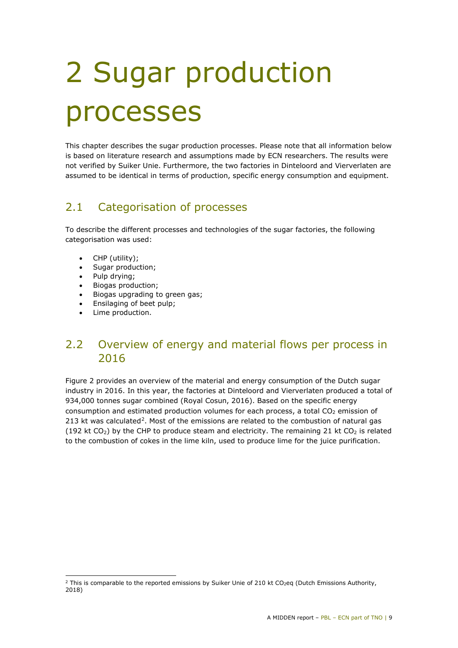# <span id="page-8-0"></span>2 Sugar production processes

This chapter describes the sugar production processes. Please note that all information below is based on literature research and assumptions made by ECN researchers. The results were not verified by Suiker Unie. Furthermore, the two factories in Dinteloord and Vierverlaten are assumed to be identical in terms of production, specific energy consumption and equipment.

## <span id="page-8-1"></span>2.1 Categorisation of processes

To describe the different processes and technologies of the sugar factories, the following categorisation was used:

- CHP (utility);
- Sugar production;
- Pulp drying;
- Biogas production;
- Biogas upgrading to green gas;
- Ensilaging of beet pulp;
- Lime production.

## <span id="page-8-2"></span>2.2 Overview of energy and material flows per process in 2016

[Figure 2](#page-10-0) provides an overview of the material and energy consumption of the Dutch sugar industry in 2016. In this year, the factories at Dinteloord and Vierverlaten produced a total of 934,000 tonnes sugar combined (Royal Cosun, 2016). Based on the specific energy consumption and estimated production volumes for each process, a total  $CO<sub>2</sub>$  emission of 213 kt was calculated<sup>2</sup>. Most of the emissions are related to the combustion of natural gas (192 kt CO<sub>2</sub>) by the CHP to produce steam and electricity. The remaining 21 kt CO<sub>2</sub> is related to the combustion of cokes in the lime kiln, used to produce lime for the juice purification.

<span id="page-8-3"></span>i, <sup>2</sup> This is comparable to the reported emissions by Suiker Unie of 210 kt CO<sub>2</sub>eq (Dutch Emissions Authority, 2018)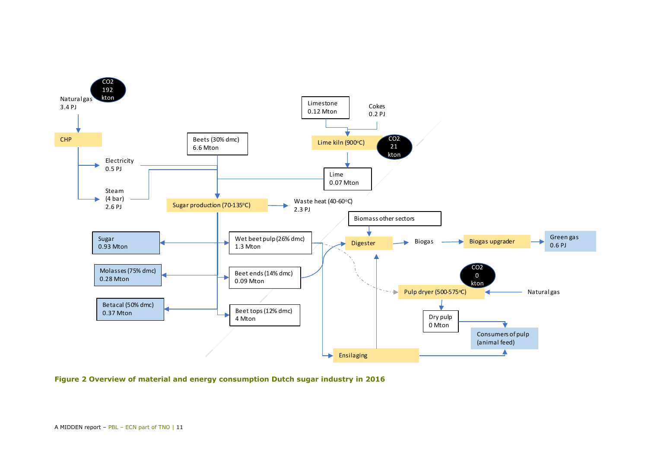

<span id="page-10-0"></span>**Figure 2 Overview of material and energy consumption Dutch sugar industry in 2016**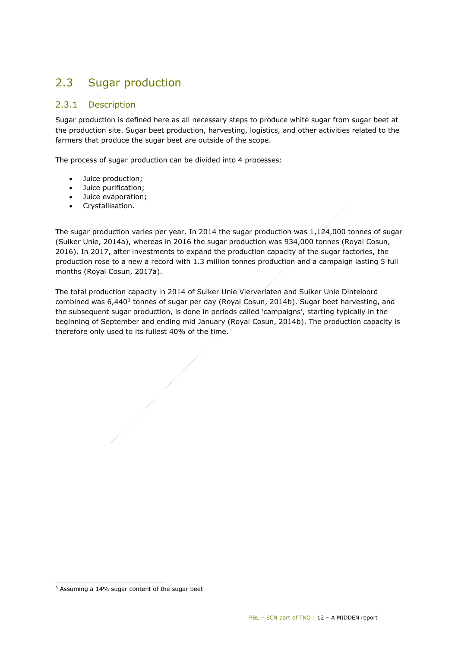## <span id="page-11-0"></span>2.3 Sugar production

## 2.3.1 Description

Sugar production is defined here as all necessary steps to produce white sugar from sugar beet at the production site. Sugar beet production, harvesting, logistics, and other activities related to the farmers that produce the sugar beet are outside of the scope.

The process of sugar production can be divided into 4 processes:

- Juice production;
- Juice purification;
- Juice evaporation;
- Crystallisation.

The sugar production varies per year. In 2014 the sugar production was 1,124,000 tonnes of sugar (Suiker Unie, 2014a), whereas in 2016 the sugar production was 934,000 tonnes (Royal Cosun, 2016). In 2017, after investments to expand the production capacity of the sugar factories, the production rose to a new a record with 1.3 million tonnes production and a campaign lasting 5 full months (Royal Cosun, 2017a).

The total production capacity in 2014 of Suiker Unie Vierverlaten and Suiker Unie Dinteloord combined was  $6,440^3$  $6,440^3$  tonnes of sugar per day (Royal Cosun, 2014b). Sugar beet harvesting, and the subsequent sugar production, is done in periods called 'campaigns', starting typically in the beginning of September and ending mid January (Royal Cosun, 2014b). The production capacity is therefore only used to its fullest 40% of the time.

i,

<span id="page-11-1"></span><sup>3</sup> Assuming a 14% sugar content of the sugar beet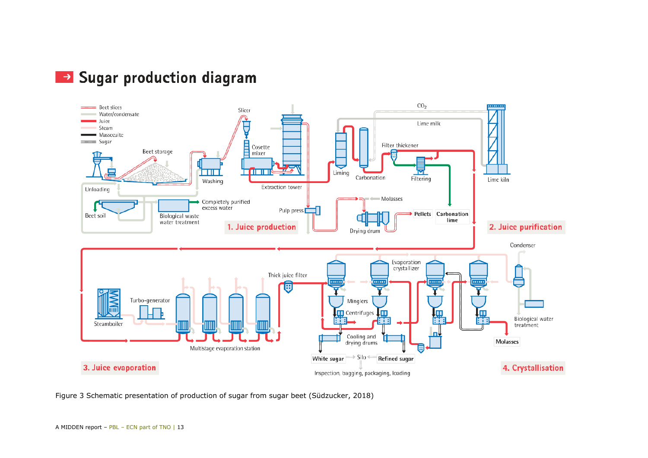



Figure 3 Schematic presentation of production of sugar from sugar beet (Südzucker, 2018)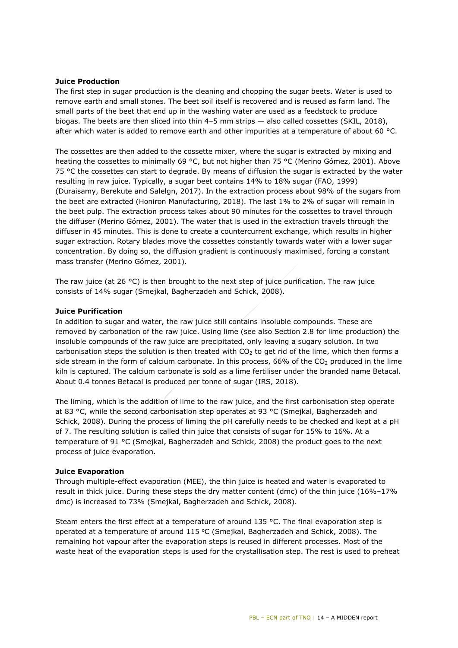#### **Juice Production**

The first step in sugar production is the cleaning and chopping the sugar beets. Water is used to remove earth and small stones. The beet soil itself is recovered and is reused as farm land. The small parts of the beet that end up in the washing water are used as a feedstock to produce biogas. The beets are then sliced into thin 4–5 mm strips — also called cossettes (SKIL, 2018), after which water is added to remove earth and other impurities at a temperature of about 60 °C.

The cossettes are then added to the cossette mixer, where the sugar is extracted by mixing and heating the cossettes to minimally 69 °C, but not higher than 75 °C (Merino Gómez, 2001). Above 75 °C the cossettes can start to degrade. By means of diffusion the sugar is extracted by the water resulting in raw juice. Typically, a sugar beet contains 14% to 18% sugar (FAO, 1999) (Duraisamy, Berekute and Salelgn, 2017). In the extraction process about 98% of the sugars from the beet are extracted (Honiron Manufacturing, 2018). The last 1% to 2% of sugar will remain in the beet pulp. The extraction process takes about 90 minutes for the cossettes to travel through the diffuser (Merino Gómez, 2001). The water that is used in the extraction travels through the diffuser in 45 minutes. This is done to create a countercurrent exchange, which results in higher sugar extraction. Rotary blades move the cossettes constantly towards water with a lower sugar concentration. By doing so, the diffusion gradient is continuously maximised, forcing a constant mass transfer (Merino Gómez, 2001).

The raw juice (at 26 °C) is then brought to the next step of juice purification. The raw juice consists of 14% sugar (Smejkal, Bagherzadeh and Schick, 2008).

#### **Juice Purification**

In addition to sugar and water, the raw juice still contains insoluble compounds. These are removed by carbonation of the raw juice. Using lime (see also Section [2.8](#page-19-1) for lime production) the insoluble compounds of the raw juice are precipitated, only leaving a sugary solution. In two carbonisation steps the solution is then treated with  $CO<sub>2</sub>$  to get rid of the lime, which then forms a side stream in the form of calcium carbonate. In this process,  $66%$  of the  $CO<sub>2</sub>$  produced in the lime kiln is captured. The calcium carbonate is sold as a lime fertiliser under the branded name Betacal. About 0.4 tonnes Betacal is produced per tonne of sugar (IRS, 2018).

The liming, which is the addition of lime to the raw juice, and the first carbonisation step operate at 83 °C, while the second carbonisation step operates at 93 °C (Smejkal, Bagherzadeh and Schick, 2008). During the process of liming the pH carefully needs to be checked and kept at a pH of 7. The resulting solution is called thin juice that consists of sugar for 15% to 16%. At a temperature of 91 °C (Smejkal, Bagherzadeh and Schick, 2008) the product goes to the next process of juice evaporation.

#### **Juice Evaporation**

Through multiple-effect evaporation (MEE), the thin juice is heated and water is evaporated to result in thick juice. During these steps the dry matter content (dmc) of the thin juice (16%–17% dmc) is increased to 73% (Smejkal, Bagherzadeh and Schick, 2008).

Steam enters the first effect at a temperature of around 135 °C. The final evaporation step is operated at a temperature of around 115  $\degree$ C (Smejkal, Bagherzadeh and Schick, 2008). The remaining hot vapour after the evaporation steps is reused in different processes. Most of the waste heat of the evaporation steps is used for the crystallisation step. The rest is used to preheat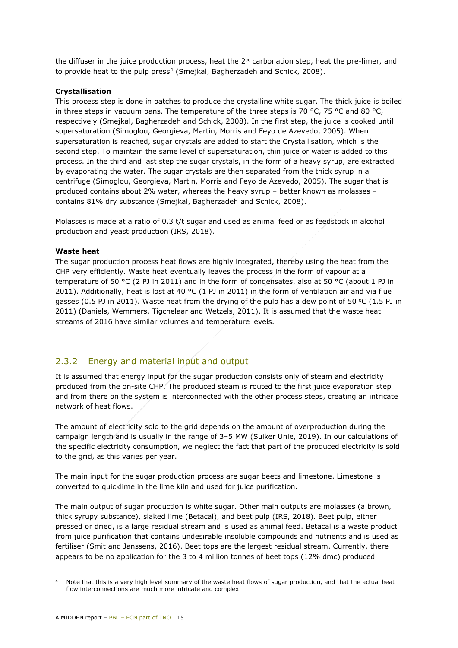the diffuser in the juice production process, heat the  $2<sup>cd</sup>$  carbonation step, heat the pre-limer, and to provide heat to the pulp press<sup>[4](#page-14-0)</sup> (Smejkal, Bagherzadeh and Schick, 2008).

#### **Crystallisation**

This process step is done in batches to produce the crystalline white sugar. The thick juice is boiled in three steps in vacuum pans. The temperature of the three steps is 70 °C, 75 °C and 80 °C, respectively (Smejkal, Bagherzadeh and Schick, 2008). In the first step, the juice is cooked until supersaturation (Simoglou, Georgieva, Martin, Morris and Feyo de Azevedo, 2005). When supersaturation is reached, sugar crystals are added to start the Crystallisation, which is the second step. To maintain the same level of supersaturation, thin juice or water is added to this process. In the third and last step the sugar crystals, in the form of a heavy syrup, are extracted by evaporating the water. The sugar crystals are then separated from the thick syrup in a centrifuge (Simoglou, Georgieva, Martin, Morris and Feyo de Azevedo, 2005). The sugar that is produced contains about 2% water, whereas the heavy syrup – better known as molasses – contains 81% dry substance (Smejkal, Bagherzadeh and Schick, 2008).

Molasses is made at a ratio of 0.3 t/t sugar and used as animal feed or as feedstock in alcohol production and yeast production (IRS, 2018).

#### **Waste heat**

The sugar production process heat flows are highly integrated, thereby using the heat from the CHP very efficiently. Waste heat eventually leaves the process in the form of vapour at a temperature of 50 °C (2 PJ in 2011) and in the form of condensates, also at 50 °C (about 1 PJ in 2011). Additionally, heat is lost at 40 °C (1 PJ in 2011) in the form of ventilation air and via flue gasses (0.5 PJ in 2011). Waste heat from the drying of the pulp has a dew point of 50 °C (1.5 PJ in 2011) (Daniels, Wemmers, Tigchelaar and Wetzels, 2011). It is assumed that the waste heat streams of 2016 have similar volumes and temperature levels.

## 2.3.2 Energy and material input and output

It is assumed that energy input for the sugar production consists only of steam and electricity produced from the on-site CHP. The produced steam is routed to the first juice evaporation step and from there on the system is interconnected with the other process steps, creating an intricate network of heat flows.

The amount of electricity sold to the grid depends on the amount of overproduction during the campaign length and is usually in the range of 3–5 MW (Suiker Unie, 2019). In our calculations of the specific electricity consumption, we neglect the fact that part of the produced electricity is sold to the grid, as this varies per year.

The main input for the sugar production process are sugar beets and limestone. Limestone is converted to quicklime in the lime kiln and used for juice purification.

The main output of sugar production is white sugar. Other main outputs are molasses (a brown, thick syrupy substance), slaked lime (Betacal), and beet pulp (IRS, 2018). Beet pulp, either pressed or dried, is a large residual stream and is used as animal feed. Betacal is a waste product from juice purification that contains undesirable insoluble compounds and nutrients and is used as fertiliser (Smit and Janssens, 2016). Beet tops are the largest residual stream. Currently, there appears to be no application for the 3 to 4 million tonnes of beet tops (12% dmc) produced

<span id="page-14-0"></span>i, Note that this is a very high level summary of the waste heat flows of sugar production, and that the actual heat flow interconnections are much more intricate and complex.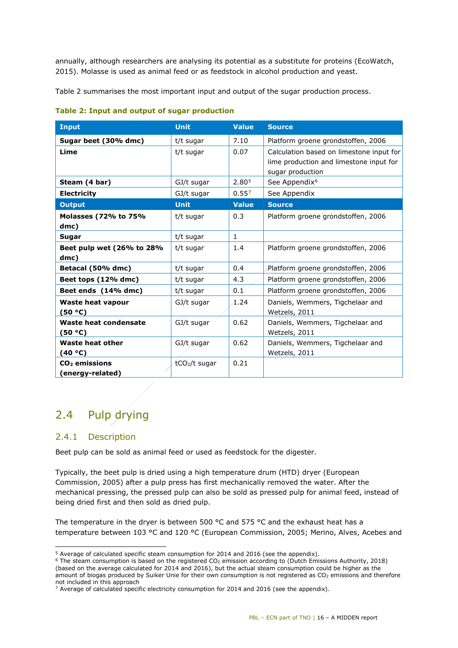annually, although researchers are analysing its potential as a substitute for proteins (EcoWatch, 2015). Molasse is used as animal feed or as feedstock in alcohol production and yeast.

[Table 2](#page-15-1) summarises the most important input and output of the sugar production process.

| <b>Input</b>                                  | <b>Unit</b>               | <b>Value</b> | <b>Source</b>                                                                                           |
|-----------------------------------------------|---------------------------|--------------|---------------------------------------------------------------------------------------------------------|
| Sugar beet (30% dmc)                          | t/t sugar                 | 7.10         | Platform groene grondstoffen, 2006                                                                      |
| Lime                                          | t/t sugar                 | 0.07         | Calculation based on limestone input for<br>lime production and limestone input for<br>sugar production |
| Steam (4 bar)                                 | GJ/t sugar                | 2.805        | See Appendix <sup>6</sup>                                                                               |
| <b>Electricity</b>                            | GJ/t sugar                | $0.55^{7}$   | See Appendix                                                                                            |
| <b>Output</b>                                 | <b>Unit</b>               | <b>Value</b> | <b>Source</b>                                                                                           |
| Molasses (72% to 75%<br>dmc)                  | t/t sugar                 | 0.3          | Platform groene grondstoffen, 2006                                                                      |
| Sugar                                         | t/t sugar                 | $\mathbf{1}$ |                                                                                                         |
| Beet pulp wet (26% to 28%<br>dmc)             | t/t sugar                 | 1.4          | Platform groene grondstoffen, 2006                                                                      |
| Betacal (50% dmc)                             | t/t sugar                 | 0.4          | Platform groene grondstoffen, 2006                                                                      |
| Beet tops (12% dmc)                           | t/t sugar                 | 4.3          | Platform groene grondstoffen, 2006                                                                      |
| Beet ends (14% dmc)                           | t/t sugar                 | 0.1          | Platform groene grondstoffen, 2006                                                                      |
| <b>Waste heat vapour</b><br>(50 °C)           | GJ/t sugar                | 1.24         | Daniels, Wemmers, Tigchelaar and<br>Wetzels, 2011                                                       |
| Waste heat condensate<br>(50 °C)              | GJ/t sugar                | 0.62         | Daniels, Wemmers, Tigchelaar and<br>Wetzels, 2011                                                       |
| Waste heat other<br>(40 °C)                   | GJ/t sugar                | 0.62         | Daniels, Wemmers, Tigchelaar and<br>Wetzels, 2011                                                       |
| CO <sub>2</sub> emissions<br>(energy-related) | tCO <sub>2</sub> /t sugar | 0.21         |                                                                                                         |

#### <span id="page-15-1"></span>**Table 2: Input and output of sugar production**

## <span id="page-15-0"></span>2.4 Pulp drying

## 2.4.1 Description

Beet pulp can be sold as animal feed or used as feedstock for the digester.

Typically, the beet pulp is dried using a high temperature drum (HTD) dryer (European Commission, 2005) after a pulp press has first mechanically removed the water. After the mechanical pressing, the pressed pulp can also be sold as pressed pulp for animal feed, instead of being dried first and then sold as dried pulp.

The temperature in the dryer is between 500  $^{\circ}$ C and 575  $^{\circ}$ C and the exhaust heat has a temperature between 103 °C and 120 °C (European Commission, 2005; Merino, Alves, Acebes and

<sup>-</sup> $5$  Average of calculated specific steam consumption for 2014 and 2016 (see the [appendix\)](#page-37-0).

<span id="page-15-3"></span><span id="page-15-2"></span> $6$  The steam consumption is based on the registered CO<sub>2</sub> emission according to (Dutch Emissions Authority, 2018) (based on the average calculated for 2014 and 2016), but the actual steam consumption could be higher as the amount of biogas produced by Suiker Unie for their own consumption is not registered as CO<sub>2</sub> emissions and therefore not included in this approach

<span id="page-15-4"></span> $7$  Average of calculated specific electricity consumption for 2014 and 2016 (see the [appendix\)](#page-37-0).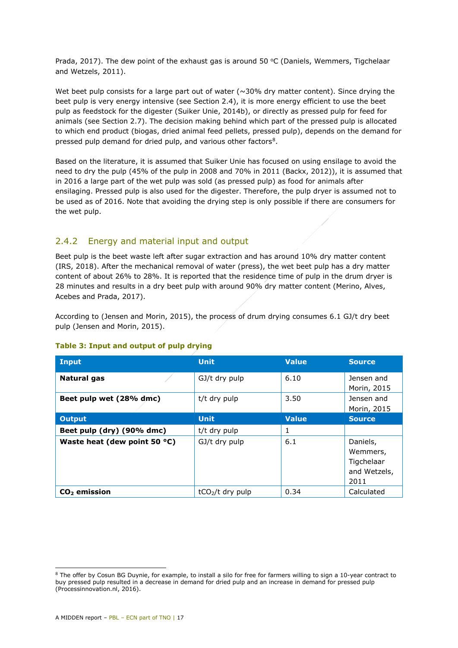Prada, 2017). The dew point of the exhaust gas is around 50  $\degree$ C (Daniels, Wemmers, Tigchelaar and Wetzels, 2011).

Wet beet pulp consists for a large part out of water  $(\sim]30\%$  dry matter content). Since drying the beet pulp is very energy intensive (see Section [2.4\)](#page-15-0), it is more energy efficient to use the beet pulp as feedstock for the digester (Suiker Unie, 2014b), or directly as pressed pulp for feed for animals (see Section [2.7\)](#page-19-0). The decision making behind which part of the pressed pulp is allocated to which end product (biogas, dried animal feed pellets, pressed pulp), depends on the demand for pressed pulp demand for dried pulp, and various other factors<sup>[8](#page-16-0)</sup>.

Based on the literature, it is assumed that Suiker Unie has focused on using ensilage to avoid the need to dry the pulp (45% of the pulp in 2008 and 70% in 2011 (Backx, 2012)), it is assumed that in 2016 a large part of the wet pulp was sold (as pressed pulp) as food for animals after ensilaging. Pressed pulp is also used for the digester. Therefore, the pulp dryer is assumed not to be used as of 2016. Note that avoiding the drying step is only possible if there are consumers for the wet pulp.

## 2.4.2 Energy and material input and output

Beet pulp is the beet waste left after sugar extraction and has around 10% dry matter content (IRS, 2018). After the mechanical removal of water (press), the wet beet pulp has a dry matter content of about 26% to 28%. It is reported that the residence time of pulp in the drum dryer is 28 minutes and results in a dry beet pulp with around 90% dry matter content (Merino, Alves, Acebes and Prada, 2017).

According to (Jensen and Morin, 2015), the process of drum drying consumes 6.1 GJ/t dry beet pulp (Jensen and Morin, 2015).

| <b>Input</b>                 | <b>Unit</b>       | Value        | <b>Source</b>                                              |
|------------------------------|-------------------|--------------|------------------------------------------------------------|
| <b>Natural gas</b>           | GJ/t dry pulp     | 6.10         | Jensen and<br>Morin, 2015                                  |
| Beet pulp wet (28% dmc)      | t/t dry pulp      | 3.50         | Jensen and<br>Morin, 2015                                  |
| <b>Output</b>                | <b>Unit</b>       | <b>Value</b> | <b>Source</b>                                              |
| Beet pulp (dry) (90% dmc)    | t/t dry pulp      | 1            |                                                            |
| Waste heat (dew point 50 °C) | GJ/t dry pulp     | 6.1          | Daniels,<br>Wemmers,<br>Tigchelaar<br>and Wetzels,<br>2011 |
| $CO2$ emission               | $tCO2/t$ dry pulp | 0.34         | Calculated                                                 |

#### **Table 3: Input and output of pulp drying**

-

<span id="page-16-0"></span><sup>&</sup>lt;sup>8</sup> The offer by Cosun BG Duynie, for example, to install a silo for free for farmers willing to sign a 10-year contract to buy pressed pulp resulted in a decrease in demand for dried pulp and an increase in demand for pressed pulp (Processinnovation.nl, 2016).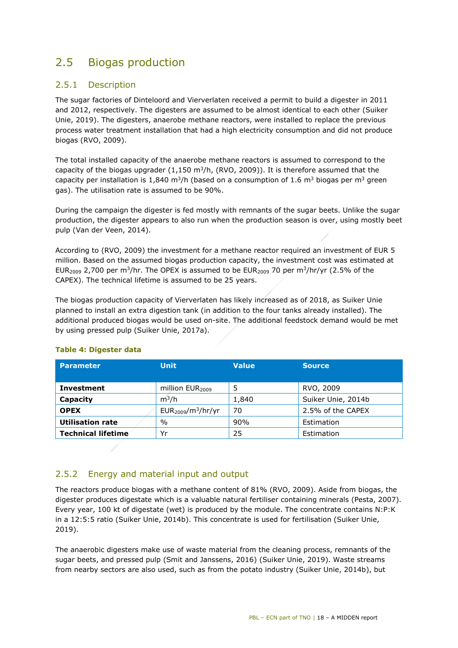## <span id="page-17-0"></span>2.5 Biogas production

## 2.5.1 Description

The sugar factories of Dinteloord and Vierverlaten received a permit to build a digester in 2011 and 2012, respectively. The digesters are assumed to be almost identical to each other (Suiker Unie, 2019). The digesters, anaerobe methane reactors, were installed to replace the previous process water treatment installation that had a high electricity consumption and did not produce biogas (RVO, 2009).

The total installed capacity of the anaerobe methane reactors is assumed to correspond to the capacity of the biogas upgrader  $(1,150 \text{ m}^3/h)$ , (RVO, 2009)). It is therefore assumed that the capacity per installation is 1,840 m<sup>3</sup>/h (based on a consumption of 1.6 m<sup>3</sup> biogas per m<sup>3</sup> green gas). The utilisation rate is assumed to be 90%.

During the campaign the digester is fed mostly with remnants of the sugar beets. Unlike the sugar production, the digester appears to also run when the production season is over, using mostly beet pulp (Van der Veen, 2014).

According to (RVO, 2009) the investment for a methane reactor required an investment of EUR 5 million. Based on the assumed biogas production capacity, the investment cost was estimated at EUR<sub>2009</sub> 2,700 per m<sup>3</sup>/hr. The OPEX is assumed to be EUR<sub>2009</sub> 70 per m<sup>3</sup>/hr/yr (2.5% of the CAPEX). The technical lifetime is assumed to be 25 years.

The biogas production capacity of Vierverlaten has likely increased as of 2018, as Suiker Unie planned to install an extra digestion tank (in addition to the four tanks already installed). The additional produced biogas would be used on-site. The additional feedstock demand would be met by using pressed pulp (Suiker Unie, 2017a).

| <b>Parameter</b>          | <b>Unit</b>                 | <b>Value</b> | <b>Source</b>      |
|---------------------------|-----------------------------|--------------|--------------------|
| <b>Investment</b>         | million EUR <sub>2009</sub> | 5            | RVO, 2009          |
| Capacity                  | $m^3/h$                     | 1,840        | Suiker Unie, 2014b |
| <b>OPEX</b>               | $EUR2009/m3/hr/yr$          | 70           | 2.5% of the CAPEX  |
| <b>Utilisation rate</b>   | $\%$                        | 90%          | Estimation         |
| <b>Technical lifetime</b> | Yr                          | 25           | Estimation         |

#### **Table 4: Digester data**

## 2.5.2 Energy and material input and output

The reactors produce biogas with a methane content of 81% (RVO, 2009). Aside from biogas, the digester produces digestate which is a valuable natural fertiliser containing minerals (Pesta, 2007). Every year, 100 kt of digestate (wet) is produced by the module. The concentrate contains N:P:K in a 12:5:5 ratio (Suiker Unie, 2014b). This concentrate is used for fertilisation (Suiker Unie, 2019).

The anaerobic digesters make use of waste material from the cleaning process, remnants of the sugar beets, and pressed pulp (Smit and Janssens, 2016) (Suiker Unie, 2019). Waste streams from nearby sectors are also used, such as from the potato industry (Suiker Unie, 2014b), but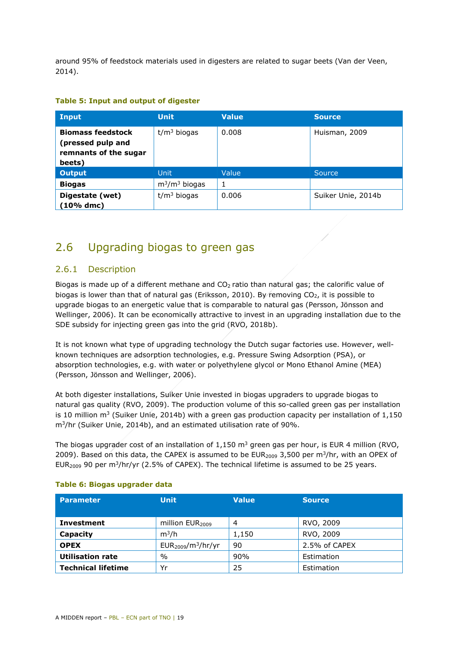around 95% of feedstock materials used in digesters are related to sugar beets (Van der Veen, 2014).

| Input                                                                            | <b>Unit</b>      | <b>Value</b> | <b>Source</b>      |
|----------------------------------------------------------------------------------|------------------|--------------|--------------------|
| <b>Biomass feedstock</b><br>(pressed pulp and<br>remnants of the sugar<br>beets) | $t/m3$ biogas    | 0.008        | Huisman, 2009      |
| <b>Output</b>                                                                    | <b>Unit</b>      | Value        | Source,            |
| <b>Biogas</b>                                                                    | $m^3/m^3$ biogas | 1            |                    |
| Digestate (wet)<br>(10% dmc)                                                     | $t/m3$ biogas    | 0.006        | Suiker Unie, 2014b |

#### **Table 5: Input and output of digester**

## <span id="page-18-0"></span>2.6 Upgrading biogas to green gas

## 2.6.1 Description

Biogas is made up of a different methane and  $CO<sub>2</sub>$  ratio than natural gas; the calorific value of biogas is lower than that of natural gas (Eriksson, 2010). By removing  $CO<sub>2</sub>$ , it is possible to upgrade biogas to an energetic value that is comparable to natural gas (Persson, Jönsson and Wellinger, 2006). It can be economically attractive to invest in an upgrading installation due to the SDE subsidy for injecting green gas into the grid (RVO, 2018b).

It is not known what type of upgrading technology the Dutch sugar factories use. However, wellknown techniques are adsorption technologies, e.g. Pressure Swing Adsorption (PSA), or absorption technologies, e.g. with water or polyethylene glycol or Mono Ethanol Amine (MEA) (Persson, Jönsson and Wellinger, 2006).

At both digester installations, Suiker Unie invested in biogas upgraders to upgrade biogas to natural gas quality (RVO, 2009). The production volume of this so-called green gas per installation is 10 million  $m^3$  (Suiker Unie, 2014b) with a green gas production capacity per installation of  $1,150$ m3/hr (Suiker Unie, 2014b), and an estimated utilisation rate of 90%.

The biogas upgrader cost of an installation of  $1.150 \text{ m}^3$  green gas per hour, is EUR 4 million (RVO, 2009). Based on this data, the CAPEX is assumed to be EUR<sub>2009</sub> 3,500 per m<sup>3</sup>/hr, with an OPEX of EUR<sub>2009</sub> 90 per m<sup>3</sup>/hr/yr (2.5% of CAPEX). The technical lifetime is assumed to be 25 years.

| <b>Parameter</b>          | <b>Unit</b>                 | <b>Value</b> | <b>Source</b> |
|---------------------------|-----------------------------|--------------|---------------|
|                           |                             |              |               |
| <b>Investment</b>         | million EUR <sub>2009</sub> | 4            | RVO, 2009     |
| Capacity                  | $m^3/h$                     | 1,150        | RVO, 2009     |
| <b>OPEX</b>               | $EUR2009/m3/hr/yr$          | 90           | 2.5% of CAPEX |
| <b>Utilisation rate</b>   | $\frac{0}{0}$               | 90%          | Estimation    |
| <b>Technical lifetime</b> | Yr                          | 25           | Estimation    |

#### **Table 6: Biogas upgrader data**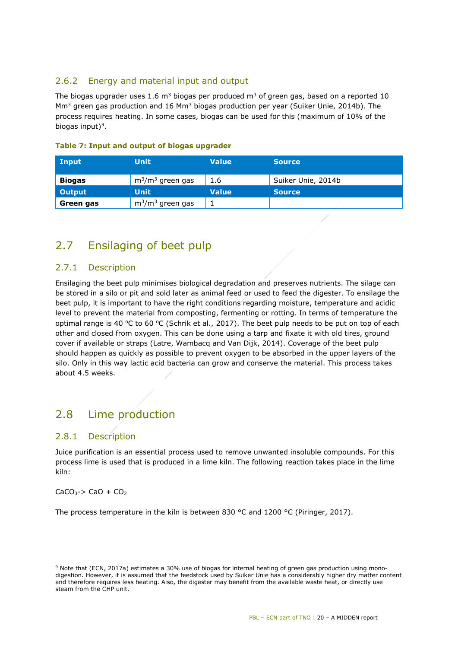## 2.6.2 Energy and material input and output

The biogas upgrader uses 1.6  $m<sup>3</sup>$  biogas per produced  $m<sup>3</sup>$  of green gas, based on a reported 10  $\text{Mm}^3$  green gas production and 16  $\text{Mm}^3$  biogas production per year (Suiker Unie, 2014b). The process requires heating. In some cases, biogas can be used for this (maximum of 10% of the biogas input $9^9$ .

| Input         | <b>Unit</b>         | <b>Value</b> | <b>Source</b>      |
|---------------|---------------------|--------------|--------------------|
| <b>Biogas</b> | $m^3/m^3$ green gas | 1.6          | Suiker Unie, 2014b |
| Output        | <b>Unit</b>         | <b>Value</b> | <b>Source</b>      |
| Green gas     | $m^3/m^3$ green gas |              |                    |

### **Table 7: Input and output of biogas upgrader**

## <span id="page-19-0"></span>2.7 Ensilaging of beet pulp

## 2.7.1 Description

Ensilaging the beet pulp minimises biological degradation and preserves nutrients. The silage can be stored in a silo or pit and sold later as animal feed or used to feed the digester. To ensilage the beet pulp, it is important to have the right conditions regarding moisture, temperature and acidic level to prevent the material from composting, fermenting or rotting. In terms of temperature the optimal range is 40 °C to 60 °C (Schrik et al., 2017). The beet pulp needs to be put on top of each other and closed from oxygen. This can be done using a tarp and fixate it with old tires, ground cover if available or straps (Latre, Wambacq and Van Dijk, 2014). Coverage of the beet pulp should happen as quickly as possible to prevent oxygen to be absorbed in the upper layers of the silo. Only in this way lactic acid bacteria can grow and conserve the material. This process takes about 4.5 weeks.

## <span id="page-19-1"></span>2.8 Lime production

## 2.8.1 Description

Juice purification is an essential process used to remove unwanted insoluble compounds. For this process lime is used that is produced in a lime kiln. The following reaction takes place in the lime kiln:

 $CaCO<sub>3</sub>$ -> CaO + CO<sub>2</sub>

i,

The process temperature in the kiln is between 830 °C and 1200 °C (Piringer, 2017).

<span id="page-19-2"></span> $9$  Note that (ECN, 2017a) estimates a 30% use of biogas for internal heating of green gas production using monodigestion. However, it is assumed that the feedstock used by Suiker Unie has a considerably higher dry matter content and therefore requires less heating. Also, the digester may benefit from the available waste heat, or directly use steam from the CHP unit.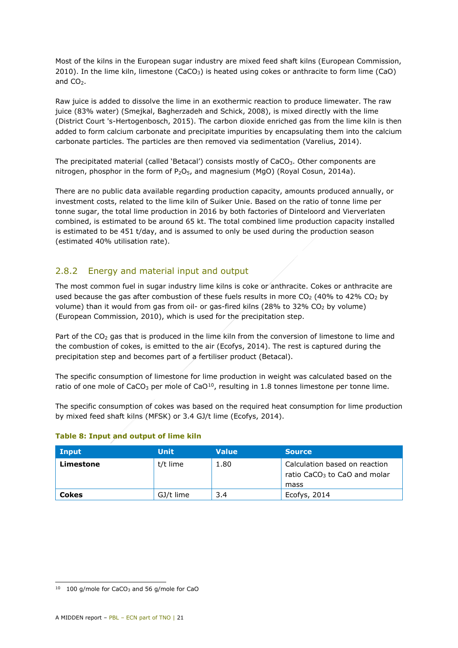Most of the kilns in the European sugar industry are mixed feed shaft kilns (European Commission, 2010). In the lime kiln, limestone (CaCO<sub>3</sub>) is heated using cokes or anthracite to form lime (CaO) and  $CO<sub>2</sub>$ .

Raw juice is added to dissolve the lime in an exothermic reaction to produce limewater. The raw juice (83% water) (Smejkal, Bagherzadeh and Schick, 2008), is mixed directly with the lime (District Court 's-Hertogenbosch, 2015). The carbon dioxide enriched gas from the lime kiln is then added to form calcium carbonate and precipitate impurities by encapsulating them into the calcium carbonate particles. The particles are then removed via sedimentation (Varelius, 2014).

The precipitated material (called 'Betacal') consists mostly of CaCO<sub>3</sub>. Other components are nitrogen, phosphor in the form of  $P_2O_5$ , and magnesium (MgO) (Royal Cosun, 2014a).

There are no public data available regarding production capacity, amounts produced annually, or investment costs, related to the lime kiln of Suiker Unie. Based on the ratio of tonne lime per tonne sugar, the total lime production in 2016 by both factories of Dinteloord and Vierverlaten combined, is estimated to be around 65 kt. The total combined lime production capacity installed is estimated to be 451 t/day, and is assumed to only be used during the production season (estimated 40% utilisation rate).

## 2.8.2 Energy and material input and output

The most common fuel in sugar industry lime kilns is coke or anthracite. Cokes or anthracite are used because the gas after combustion of these fuels results in more  $CO<sub>2</sub>$  (40% to 42%  $CO<sub>2</sub>$  by volume) than it would from gas from oil- or gas-fired kilns (28% to 32%  $CO<sub>2</sub>$  by volume) (European Commission, 2010), which is used for the precipitation step.

Part of the CO<sub>2</sub> gas that is produced in the lime kiln from the conversion of limestone to lime and the combustion of cokes, is emitted to the air (Ecofys, 2014). The rest is captured during the precipitation step and becomes part of a fertiliser product (Betacal).

The specific consumption of limestone for lime production in weight was calculated based on the ratio of one mole of CaCO<sub>3</sub> per mole of CaO<sup>[10](#page-20-0)</sup>, resulting in 1.8 tonnes limestone per tonne lime.

The specific consumption of cokes was based on the required heat consumption for lime production by mixed feed shaft kilns (MFSK) or 3.4 GJ/t lime (Ecofys, 2014).

| Input        | <b>Unit</b> | <b>Value</b> | <b>Source</b>                                                                     |
|--------------|-------------|--------------|-----------------------------------------------------------------------------------|
| Limestone    | t/t lime    | 1.80         | Calculation based on reaction<br>ratio CaCO <sub>3</sub> to CaO and molar<br>mass |
| <b>Cokes</b> | GJ/t lime   | 3.4          | Ecofys, 2014                                                                      |

### **Table 8: Input and output of lime kiln**

<span id="page-20-0"></span>i, 10 100 g/mole for CaCO<sub>3</sub> and 56 g/mole for CaO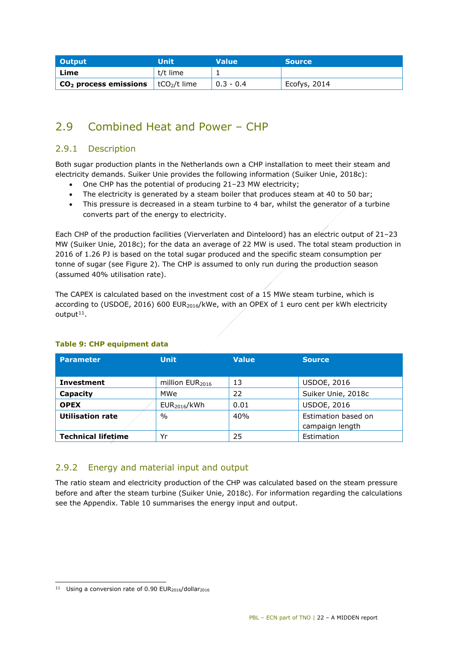| <b>Output</b>                                            | Unit     | <b>Value</b> | <b>Source</b> |
|----------------------------------------------------------|----------|--------------|---------------|
| ' Lime                                                   | t/t lime |              |               |
| $\overline{C_2}$ process emissions $\overline{C_2}$ lime |          | $0.3 - 0.4$  | Ecofys, 2014  |

## <span id="page-21-0"></span>2.9 Combined Heat and Power – CHP

## 2.9.1 Description

Both sugar production plants in the Netherlands own a CHP installation to meet their steam and electricity demands. Suiker Unie provides the following information (Suiker Unie, 2018c):

- One CHP has the potential of producing 21–23 MW electricity;
- The electricity is generated by a steam boiler that produces steam at 40 to 50 bar;
- This pressure is decreased in a steam turbine to 4 bar, whilst the generator of a turbine converts part of the energy to electricity.

Each CHP of the production facilities (Vierverlaten and Dinteloord) has an electric output of 21–23 MW (Suiker Unie, 2018c); for the data an average of 22 MW is used. The total steam production in 2016 of 1.26 PJ is based on the total sugar produced and the specific steam consumption per tonne of sugar (see [Figure 2\)](#page-10-0). The CHP is assumed to only run during the production season (assumed 40% utilisation rate).

The CAPEX is calculated based on the investment cost of a 15 MWe steam turbine, which is according to (USDOE, 2016) 600 EUR<sub>2016</sub>/kWe, with an OPEX of 1 euro cent per kWh electricity  $output<sup>11</sup>$ .

| <b>Parameter</b>          | <b>Unit</b>              | <b>Value</b> | <b>Source</b>                          |
|---------------------------|--------------------------|--------------|----------------------------------------|
| <b>Investment</b>         | million $EUR2016$        | 13           | <b>USDOE, 2016</b>                     |
| Capacity                  | MWe                      | 22           | Suiker Unie, 2018c                     |
| <b>OPEX</b>               | EUR <sub>2016</sub> /kWh | 0.01         | <b>USDOE, 2016</b>                     |
| <b>Utilisation rate</b>   | $\%$                     | 40%          | Estimation based on<br>campaign length |
| <b>Technical lifetime</b> | Yr                       | 25           | Estimation                             |

### **Table 9: CHP equipment data**

## 2.9.2 Energy and material input and output

The ratio steam and electricity production of the CHP was calculated based on the steam pressure before and after the steam turbine (Suiker Unie, 2018c). For information regarding the calculations see the Appendix. [Table 10](#page-22-0) summarises the energy input and output.

i,

<span id="page-21-1"></span> $11$  Using a conversion rate of 0.90 EUR<sub>2016</sub>/dollar<sub>2016</sub>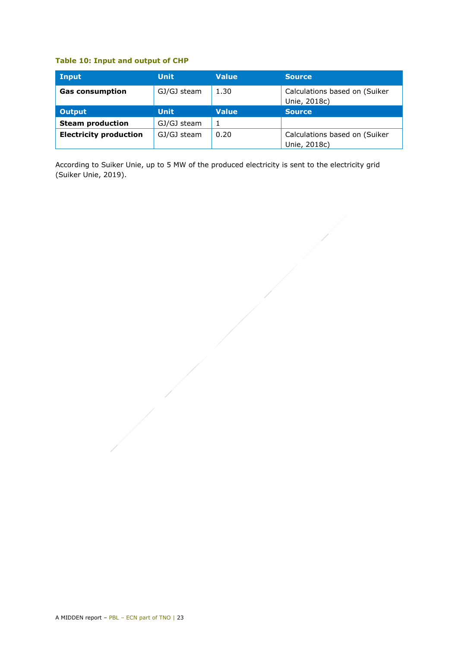### <span id="page-22-0"></span>**Table 10: Input and output of CHP**

| Input                         | <b>Unit</b> | <b>Value</b> | <b>Source</b>                                 |
|-------------------------------|-------------|--------------|-----------------------------------------------|
| <b>Gas consumption</b>        | GJ/GJ steam | 1.30         | Calculations based on (Suiker<br>Unie, 2018c) |
| <b>Output</b>                 | <b>Unit</b> | <b>Value</b> | <b>Source</b>                                 |
| <b>Steam production</b>       | GJ/GJ steam |              |                                               |
| <b>Electricity production</b> | GJ/GJ steam | 0.20         | Calculations based on (Suiker<br>Unie, 2018c) |

According to Suiker Unie, up to 5 MW of the produced electricity is sent to the electricity grid (Suiker Unie, 2019).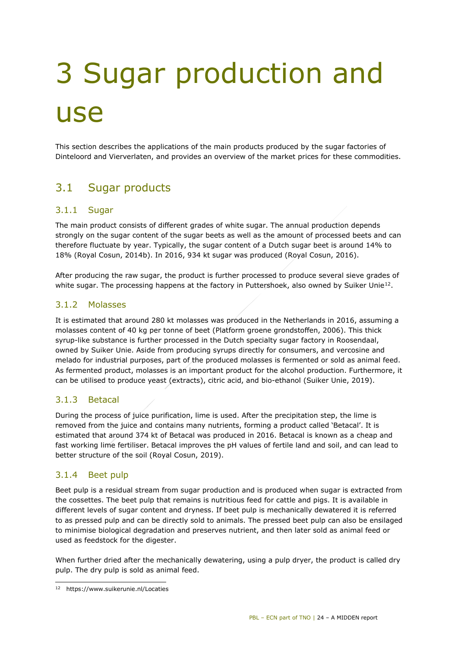# <span id="page-23-0"></span>3 Sugar production and use

<span id="page-23-1"></span>This section describes the applications of the main products produced by the sugar factories of Dinteloord and Vierverlaten, and provides an overview of the market prices for these commodities.

## 3.1 Sugar products

## 3.1.1 Sugar

The main product consists of different grades of white sugar. The annual production depends strongly on the sugar content of the sugar beets as well as the amount of processed beets and can therefore fluctuate by year. Typically, the sugar content of a Dutch sugar beet is around 14% to 18% (Royal Cosun, 2014b). In 2016, 934 kt sugar was produced (Royal Cosun, 2016).

After producing the raw sugar, the product is further processed to produce several sieve grades of white sugar. The processing happens at the factory in Puttershoek, also owned by Suiker Unie<sup>12</sup>.

## 3.1.2 Molasses

It is estimated that around 280 kt molasses was produced in the Netherlands in 2016, assuming a molasses content of 40 kg per tonne of beet (Platform groene grondstoffen, 2006). This thick syrup-like substance is further processed in the Dutch specialty sugar factory in Roosendaal, owned by Suiker Unie. Aside from producing syrups directly for consumers, and vercosine and melado for industrial purposes, part of the produced molasses is fermented or sold as animal feed. As fermented product, molasses is an important product for the alcohol production. Furthermore, it can be utilised to produce yeast (extracts), citric acid, and bio-ethanol (Suiker Unie, 2019).

## 3.1.3 Betacal

During the process of juice purification, lime is used. After the precipitation step, the lime is removed from the juice and contains many nutrients, forming a product called 'Betacal'. It is estimated that around 374 kt of Betacal was produced in 2016. Betacal is known as a cheap and fast working lime fertiliser. Betacal improves the pH values of fertile land and soil, and can lead to better structure of the soil (Royal Cosun, 2019).

## 3.1.4 Beet pulp

Beet pulp is a residual stream from sugar production and is produced when sugar is extracted from the cossettes. The beet pulp that remains is nutritious feed for cattle and pigs. It is available in different levels of sugar content and dryness. If beet pulp is mechanically dewatered it is referred to as pressed pulp and can be directly sold to animals. The pressed beet pulp can also be ensilaged to minimise biological degradation and preserves nutrient, and then later sold as animal feed or used as feedstock for the digester.

When further dried after the mechanically dewatering, using a pulp dryer, the product is called dry pulp. The dry pulp is sold as animal feed.

<span id="page-23-2"></span>i, 12 https://www.suikerunie.nl/Locaties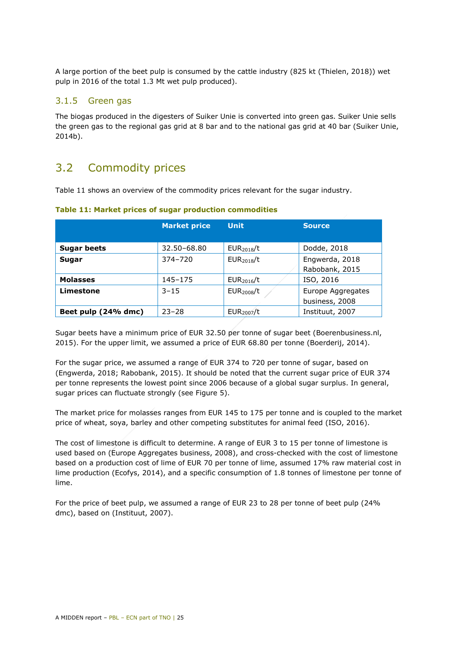A large portion of the beet pulp is consumed by the cattle industry (825 kt (Thielen, 2018)) wet pulp in 2016 of the total 1.3 Mt wet pulp produced).

## 3.1.5 Green gas

The biogas produced in the digesters of Suiker Unie is converted into green gas. Suiker Unie sells the green gas to the regional gas grid at 8 bar and to the national gas grid at 40 bar (Suiker Unie, 2014b).

## <span id="page-24-0"></span>3.2 Commodity prices

[Table 11](#page-24-1) shows an overview of the commodity prices relevant for the sugar industry.

|                     | <b>Market price</b> | <b>Unit</b><br><b>Source</b> |                                     |  |
|---------------------|---------------------|------------------------------|-------------------------------------|--|
| <b>Sugar beets</b>  | 32.50-68.80         | EUR <sub>2018</sub> /t       | Dodde, 2018                         |  |
| Sugar               | $374 - 720$         | EUR <sub>2018</sub> /t       | Engwerda, 2018<br>Rabobank, 2015    |  |
| <b>Molasses</b>     | 145-175             | EUR <sub>2016</sub> /t       | ISO, 2016                           |  |
| Limestone           | $3 - 15$            | EUR <sub>2008</sub> /t       | Europe Aggregates<br>business, 2008 |  |
| Beet pulp (24% dmc) | $23 - 28$           | EUR <sub>2007</sub> /t       | Instituut, 2007                     |  |

#### <span id="page-24-1"></span>**Table 11: Market prices of sugar production commodities**

Sugar beets have a minimum price of EUR 32.50 per tonne of sugar beet (Boerenbusiness.nl, 2015). For the upper limit, we assumed a price of EUR 68.80 per tonne (Boerderij, 2014).

For the sugar price, we assumed a range of EUR 374 to 720 per tonne of sugar, based on (Engwerda, 2018; Rabobank, 2015). It should be noted that the current sugar price of EUR 374 per tonne represents the lowest point since 2006 because of a global sugar surplus. In general, sugar prices can fluctuate strongly (see [Figure 5\)](#page-25-0).

The market price for molasses ranges from EUR 145 to 175 per tonne and is coupled to the market price of wheat, soya, barley and other competing substitutes for animal feed (ISO, 2016).

The cost of limestone is difficult to determine. A range of EUR 3 to 15 per tonne of limestone is used based on (Europe Aggregates business, 2008), and cross-checked with the cost of limestone based on a production cost of lime of EUR 70 per tonne of lime, assumed 17% raw material cost in lime production (Ecofys, 2014), and a specific consumption of 1.8 tonnes of limestone per tonne of lime.

For the price of beet pulp, we assumed a range of EUR 23 to 28 per tonne of beet pulp (24% dmc), based on (Instituut, 2007).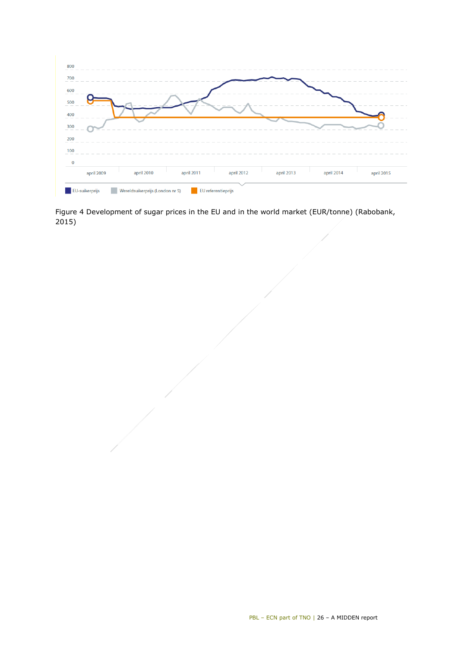

<span id="page-25-0"></span>Figure 4 Development of sugar prices in the EU and in the world market (EUR/tonne) (Rabobank, 2015)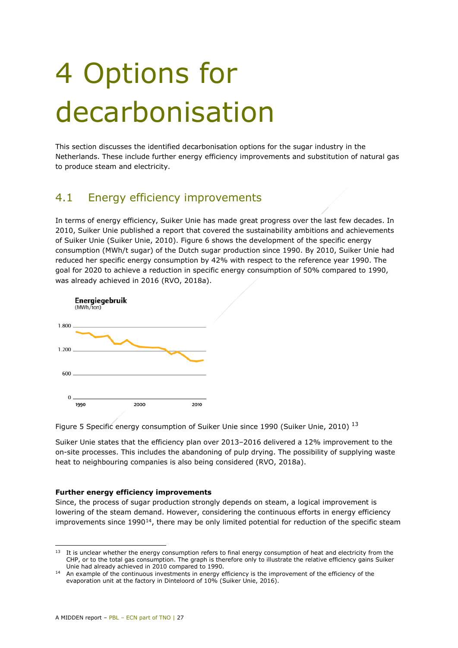## <span id="page-26-0"></span>4 Options for decarbonisation

This section discusses the identified decarbonisation options for the sugar industry in the Netherlands. These include further energy efficiency improvements and substitution of natural gas to produce steam and electricity.

## <span id="page-26-1"></span>4.1 Energy efficiency improvements

In terms of energy efficiency, Suiker Unie has made great progress over the last few decades. In 2010, Suiker Unie published a report that covered the sustainability ambitions and achievements of Suiker Unie (Suiker Unie, 2010). [Figure 6](#page-26-2) shows the development of the specific energy consumption (MWh/t sugar) of the Dutch sugar production since 1990. By 2010, Suiker Unie had reduced her specific energy consumption by 42% with respect to the reference year 1990. The goal for 2020 to achieve a reduction in specific energy consumption of 50% compared to 1990, was already achieved in 2016 (RVO, 2018a).



<span id="page-26-2"></span>Figure 5 Specific energy consumption of Suiker Unie since 1990 (Suiker Unie, 2010)<sup>[13](#page-26-3)</sup>

Suiker Unie states that the efficiency plan over 2013–2016 delivered a 12% improvement to the on-site processes. This includes the abandoning of pulp drying. The possibility of supplying waste heat to neighbouring companies is also being considered (RVO, 2018a).

#### **Further energy efficiency improvements**

Since, the process of sugar production strongly depends on steam, a logical improvement is lowering of the steam demand. However, considering the continuous efforts in energy efficiency improvements since 1990<sup>14</sup>, there may be only limited potential for reduction of the specific steam

<span id="page-26-3"></span>i,  $13$  It is unclear whether the energy consumption refers to final energy consumption of heat and electricity from the CHP, or to the total gas consumption. The graph is therefore only to illustrate the relative efficiency gains Suiker Unie had already achieved in 2010 compared to 1990.

<span id="page-26-4"></span><sup>&</sup>lt;sup>14</sup> An example of the continuous investments in energy efficiency is the improvement of the efficiency of the evaporation unit at the factory in Dinteloord of 10% (Suiker Unie, 2016).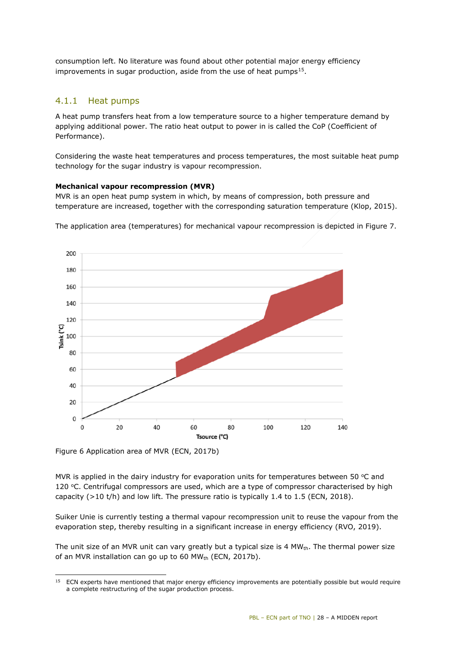consumption left. No literature was found about other potential major energy efficiency improvements in sugar production, aside from the use of heat pumps<sup>15</sup>.

## 4.1.1 Heat pumps

A heat pump transfers heat from a low temperature source to a higher temperature demand by applying additional power. The ratio heat output to power in is called the CoP (Coefficient of Performance).

Considering the waste heat temperatures and process temperatures, the most suitable heat pump technology for the sugar industry is vapour recompression.

#### **Mechanical vapour recompression (MVR)**

MVR is an open heat pump system in which, by means of compression, both pressure and temperature are increased, together with the corresponding saturation temperature (Klop, 2015).



The application area (temperatures) for mechanical vapour recompression is depicted in [Figure 7.](#page-27-0)

<span id="page-27-0"></span>Figure 6 Application area of MVR (ECN, 2017b)

MVR is applied in the dairy industry for evaporation units for temperatures between 50  $\degree$ C and 120  $°C$ . Centrifugal compressors are used, which are a type of compressor characterised by high capacity ( $>10$  t/h) and low lift. The pressure ratio is typically 1.4 to 1.5 (ECN, 2018).

Suiker Unie is currently testing a thermal vapour recompression unit to reuse the vapour from the evaporation step, thereby resulting in a significant increase in energy efficiency (RVO, 2019).

The unit size of an MVR unit can vary greatly but a typical size is 4 MW $_{\text{th}}$ . The thermal power size of an MVR installation can go up to 60 MW<sub>th</sub> (ECN, 2017b).

<span id="page-27-1"></span>i, <sup>15</sup> ECN experts have mentioned that major energy efficiency improvements are potentially possible but would require a complete restructuring of the sugar production process.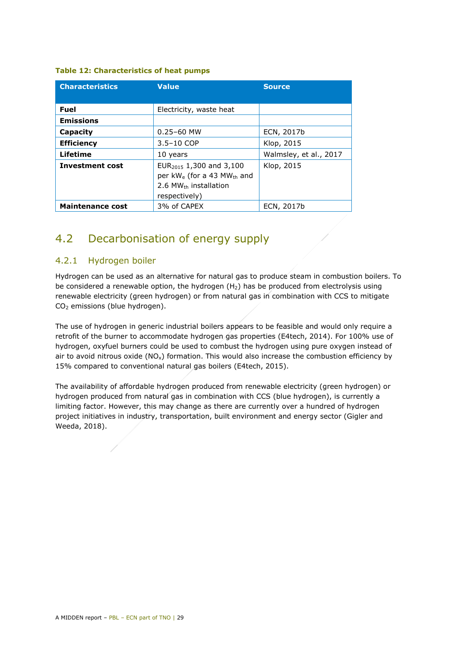|  |  | <b>Table 12: Characteristics of heat pumps</b> |  |  |  |
|--|--|------------------------------------------------|--|--|--|
|--|--|------------------------------------------------|--|--|--|

| <b>Characteristics</b>  | <b>Value</b>                                                                                                                             | <b>Source</b>          |  |  |
|-------------------------|------------------------------------------------------------------------------------------------------------------------------------------|------------------------|--|--|
|                         |                                                                                                                                          |                        |  |  |
| <b>Fuel</b>             | Electricity, waste heat                                                                                                                  |                        |  |  |
| <b>Emissions</b>        |                                                                                                                                          |                        |  |  |
| Capacity                | $0.25 - 60$ MW                                                                                                                           | ECN, 2017b             |  |  |
| <b>Efficiency</b>       | $3.5 - 10$ COP                                                                                                                           | Klop, 2015             |  |  |
| <b>Lifetime</b>         | 10 years                                                                                                                                 | Walmsley, et al., 2017 |  |  |
| <b>Investment cost</b>  | EUR <sub>2015</sub> 1,300 and 3,100<br>per $kW_e$ (for a 43 MW <sub>th</sub> and<br>$2.6$ MW <sub>th</sub> installation<br>respectively) | Klop, 2015             |  |  |
| <b>Maintenance cost</b> | 3% of CAPEX                                                                                                                              | ECN, 2017b             |  |  |

## <span id="page-28-0"></span>4.2 Decarbonisation of energy supply

## 4.2.1 Hydrogen boiler

Hydrogen can be used as an alternative for natural gas to produce steam in combustion boilers. To be considered a renewable option, the hydrogen  $(H_2)$  has be produced from electrolysis using renewable electricity (green hydrogen) or from natural gas in combination with CCS to mitigate CO2 emissions (blue hydrogen).

The use of hydrogen in generic industrial boilers appears to be feasible and would only require a retrofit of the burner to accommodate hydrogen gas properties (E4tech, 2014). For 100% use of hydrogen, oxyfuel burners could be used to combust the hydrogen using pure oxygen instead of air to avoid nitrous oxide  $(NO<sub>x</sub>)$  formation. This would also increase the combustion efficiency by 15% compared to conventional natural gas boilers (E4tech, 2015).

The availability of affordable hydrogen produced from renewable electricity (green hydrogen) or hydrogen produced from natural gas in combination with CCS (blue hydrogen), is currently a limiting factor. However, this may change as there are currently over a hundred of hydrogen project initiatives in industry, transportation, built environment and energy sector (Gigler and Weeda, 2018).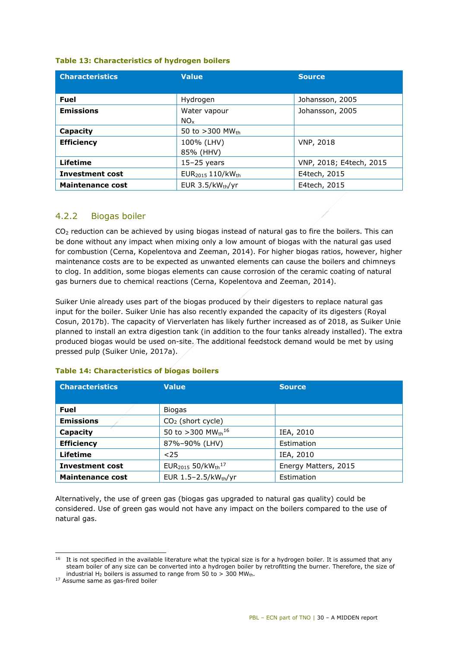#### **Table 13: Characteristics of hydrogen boilers**

| <b>Characteristics</b>  | <b>Value</b>                             | <b>Source</b>           |  |
|-------------------------|------------------------------------------|-------------------------|--|
|                         |                                          |                         |  |
| <b>Fuel</b>             | Hydrogen                                 | Johansson, 2005         |  |
| <b>Emissions</b>        | Water vapour                             | Johansson, 2005         |  |
|                         | $NO_{x}$                                 |                         |  |
| Capacity                | 50 to $>300$ MW <sub>th</sub>            |                         |  |
| <b>Efficiency</b>       | 100% (LHV)                               | <b>VNP, 2018</b>        |  |
|                         | 85% (HHV)                                |                         |  |
| <b>Lifetime</b>         | $15-25$ years                            | VNP, 2018; E4tech, 2015 |  |
| <b>Investment cost</b>  | EUR <sub>2015</sub> 110/kW <sub>th</sub> | E4tech, 2015            |  |
| <b>Maintenance cost</b> | EUR $3.5/kW_{th}/yr$                     | E4tech, 2015            |  |

## 4.2.2 Biogas boiler

 $CO<sub>2</sub>$  reduction can be achieved by using biogas instead of natural gas to fire the boilers. This can be done without any impact when mixing only a low amount of biogas with the natural gas used for combustion (Cerna, Kopelentova and Zeeman, 2014). For higher biogas ratios, however, higher maintenance costs are to be expected as unwanted elements can cause the boilers and chimneys to clog. In addition, some biogas elements can cause corrosion of the ceramic coating of natural gas burners due to chemical reactions (Cerna, Kopelentova and Zeeman, 2014).

Suiker Unie already uses part of the biogas produced by their digesters to replace natural gas input for the boiler. Suiker Unie has also recently expanded the capacity of its digesters (Royal Cosun, 2017b). The capacity of Vierverlaten has likely further increased as of 2018, as Suiker Unie planned to install an extra digestion tank (in addition to the four tanks already installed). The extra produced biogas would be used on-site. The additional feedstock demand would be met by using pressed pulp (Suiker Unie, 2017a).

| <b>Characteristics</b>  | <b>Value</b>                                          | <b>Source</b>        |  |
|-------------------------|-------------------------------------------------------|----------------------|--|
| <b>Fuel</b>             | <b>Biogas</b>                                         |                      |  |
| <b>Emissions</b>        | $CO2$ (short cycle)                                   |                      |  |
| Capacity                | 50 to >300 MWth <sup>16</sup>                         | IEA, 2010            |  |
| <b>Efficiency</b>       | 87%-90% (LHV)                                         | Estimation           |  |
| Lifetime                | $25$                                                  | IEA, 2010            |  |
| <b>Investment cost</b>  | EUR <sub>2015</sub> 50/kW <sub>th</sub> <sup>17</sup> | Energy Matters, 2015 |  |
| <b>Maintenance cost</b> | EUR $1.5 - 2.5 / kW_{th}/yr$<br>Estimation            |                      |  |

#### **Table 14: Characteristics of biogas boilers**

Alternatively, the use of green gas (biogas gas upgraded to natural gas quality) could be considered. Use of green gas would not have any impact on the boilers compared to the use of natural gas.

<span id="page-29-0"></span>i,  $16$  It is not specified in the available literature what the typical size is for a hydrogen boiler. It is assumed that any steam boiler of any size can be converted into a hydrogen boiler by retrofitting the burner. Therefore, the size of industrial H<sub>2</sub> boilers is assumed to range from 50 to > 300 MW<sub>th</sub>.<br><sup>17</sup> Assume same as gas-fired boiler

<span id="page-29-1"></span>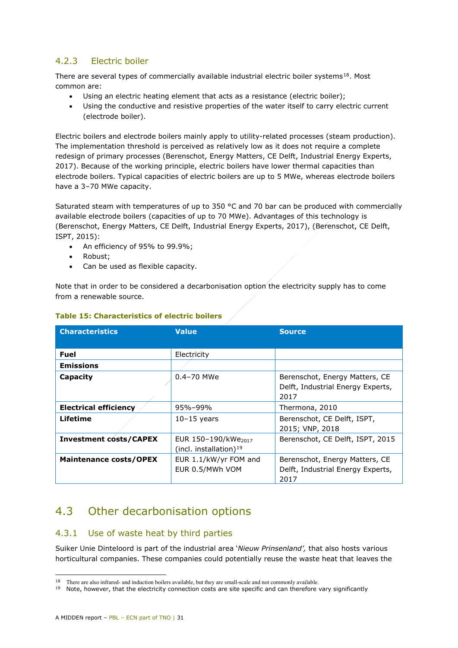## 4.2.3 Electric boiler

There are several types of commercially available industrial electric boiler systems<sup>[18](#page-30-1)</sup>. Most common are:

- Using an electric heating element that acts as a resistance (electric boiler);
- Using the conductive and resistive properties of the water itself to carry electric current (electrode boiler).

Electric boilers and electrode boilers mainly apply to utility-related processes (steam production). The implementation threshold is perceived as relatively low as it does not require a complete redesign of primary processes (Berenschot, Energy Matters, CE Delft, Industrial Energy Experts, 2017). Because of the working principle, electric boilers have lower thermal capacities than electrode boilers. Typical capacities of electric boilers are up to 5 MWe, whereas electrode boilers have a 3-70 MWe capacity.

Saturated steam with temperatures of up to 350 °C and 70 bar can be produced with commercially available electrode boilers (capacities of up to 70 MWe). Advantages of this technology is (Berenschot, Energy Matters, CE Delft, Industrial Energy Experts, 2017), (Berenschot, CE Delft, ISPT, 2015):

- An efficiency of 95% to 99.9%;
- Robust;
- Can be used as flexible capacity.

Note that in order to be considered a decarbonisation option the electricity supply has to come from a renewable source.

| <b>Characteristics</b>        | <b>Value</b>                                                 | <b>Source</b>                                                               |
|-------------------------------|--------------------------------------------------------------|-----------------------------------------------------------------------------|
|                               |                                                              |                                                                             |
| <b>Fuel</b>                   | Electricity                                                  |                                                                             |
| <b>Emissions</b>              |                                                              |                                                                             |
| Capacity                      | $0.4 - 70$ MWe                                               | Berenschot, Energy Matters, CE<br>Delft, Industrial Energy Experts,<br>2017 |
| <b>Electrical efficiency</b>  | 95%-99%                                                      | Thermona, 2010                                                              |
| Lifetime                      | $10-15$ years                                                | Berenschot, CE Delft, ISPT,<br>2015; VNP, 2018                              |
| <b>Investment costs/CAPEX</b> | EUR 150-190/kWe <sub>2017</sub><br>(incl. installation) $19$ | Berenschot, CE Delft, ISPT, 2015                                            |
| <b>Maintenance costs/OPEX</b> | EUR 1.1/kW/yr FOM and<br>EUR 0.5/MWh VOM                     | Berenschot, Energy Matters, CE<br>Delft, Industrial Energy Experts,<br>2017 |

### **Table 15: Characteristics of electric boilers**

## <span id="page-30-0"></span>4.3 Other decarbonisation options

### 4.3.1 Use of waste heat by third parties

Suiker Unie Dinteloord is part of the industrial area '*Nieuw Prinsenland',* that also hosts various horticultural companies. These companies could potentially reuse the waste heat that leaves the

-

<sup>&</sup>lt;sup>18</sup> There are also infrared- and induction boilers available, but they are small-scale and not commonly available.

<span id="page-30-2"></span><span id="page-30-1"></span> $19$  Note, however, that the electricity connection costs are site specific and can therefore vary significantly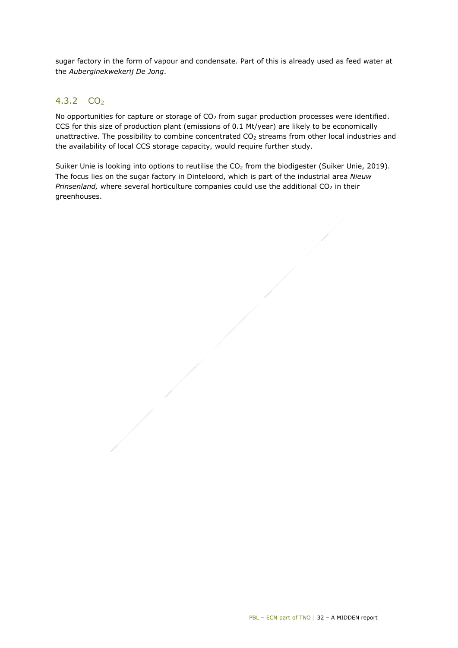sugar factory in the form of vapour and condensate. Part of this is already used as feed water at the *Auberginekwekerij De Jong*.

## 4.3.2  $CO<sub>2</sub>$

No opportunities for capture or storage of  $CO<sub>2</sub>$  from sugar production processes were identified. CCS for this size of production plant (emissions of 0.1 Mt/year) are likely to be economically unattractive. The possibility to combine concentrated CO<sub>2</sub> streams from other local industries and the availability of local CCS storage capacity, would require further study.

<span id="page-31-0"></span>Suiker Unie is looking into options to reutilise the CO<sub>2</sub> from the biodigester (Suiker Unie, 2019). The focus lies on the sugar factory in Dinteloord, which is part of the industrial area *Nieuw Prinsenland,* where several horticulture companies could use the additional CO<sub>2</sub> in their greenhouses.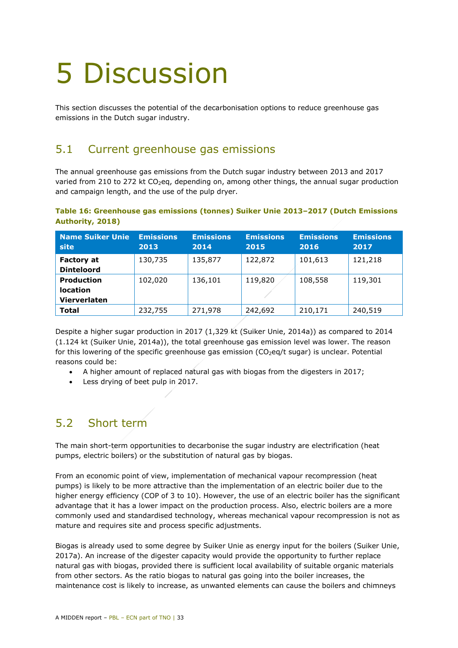## <span id="page-32-0"></span>5 Discussion

<span id="page-32-1"></span>This section discusses the potential of the decarbonisation options to reduce greenhouse gas emissions in the Dutch sugar industry.

## 5.1 Current greenhouse gas emissions

The annual greenhouse gas emissions from the Dutch sugar industry between 2013 and 2017 varied from 210 to 272 kt CO<sub>2</sub>eq, depending on, among other things, the annual sugar production and campaign length, and the use of the pulp dryer.

### **Table 16: Greenhouse gas emissions (tonnes) Suiker Unie 2013–2017 (Dutch Emissions Authority, 2018)**

| <b>Name Suiker Unie</b><br>site                      | <b>Emissions</b><br>2013 | <b>Emissions</b><br>2014 | <b>Emissions</b><br>2015 | <b>Emissions</b><br>2016 | <b>Emissions</b><br>2017 |
|------------------------------------------------------|--------------------------|--------------------------|--------------------------|--------------------------|--------------------------|
| <b>Factory at</b><br><b>Dinteloord</b>               | 130,735                  | 135,877                  | 122,872                  | 101,613                  | 121,218                  |
| <b>Production</b><br><b>location</b><br>Vierverlaten | 102,020                  | 136,101                  | 119,820                  | 108,558                  | 119,301                  |
| <b>Total</b>                                         | 232,755                  | 271,978                  | 242,692                  | 210,171                  | 240,519                  |

Despite a higher sugar production in 2017 (1,329 kt (Suiker Unie, 2014a)) as compared to 2014 (1.124 kt (Suiker Unie, 2014a)), the total greenhouse gas emission level was lower. The reason for this lowering of the specific greenhouse gas emission ( $CO<sub>2</sub>$ eg/t sugar) is unclear. Potential reasons could be:

- A higher amount of replaced natural gas with biogas from the digesters in 2017;
- Less drying of beet pulp in 2017.

## <span id="page-32-2"></span>5.2 Short term

The main short-term opportunities to decarbonise the sugar industry are electrification (heat pumps, electric boilers) or the substitution of natural gas by biogas.

From an economic point of view, implementation of mechanical vapour recompression (heat pumps) is likely to be more attractive than the implementation of an electric boiler due to the higher energy efficiency (COP of 3 to 10). However, the use of an electric boiler has the significant advantage that it has a lower impact on the production process. Also, electric boilers are a more commonly used and standardised technology, whereas mechanical vapour recompression is not as mature and requires site and process specific adjustments.

Biogas is already used to some degree by Suiker Unie as energy input for the boilers (Suiker Unie, 2017a). An increase of the digester capacity would provide the opportunity to further replace natural gas with biogas, provided there is sufficient local availability of suitable organic materials from other sectors. As the ratio biogas to natural gas going into the boiler increases, the maintenance cost is likely to increase, as unwanted elements can cause the boilers and chimneys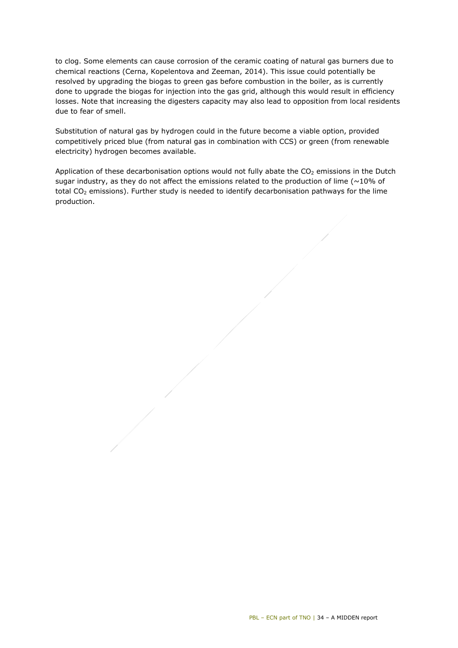to clog. Some elements can cause corrosion of the ceramic coating of natural gas burners due to chemical reactions (Cerna, Kopelentova and Zeeman, 2014). This issue could potentially be resolved by upgrading the biogas to green gas before combustion in the boiler, as is currently done to upgrade the biogas for injection into the gas grid, although this would result in efficiency losses. Note that increasing the digesters capacity may also lead to opposition from local residents due to fear of smell.

Substitution of natural gas by hydrogen could in the future become a viable option, provided competitively priced blue (from natural gas in combination with CCS) or green (from renewable electricity) hydrogen becomes available.

Application of these decarbonisation options would not fully abate the  $CO<sub>2</sub>$  emissions in the Dutch sugar industry, as they do not affect the emissions related to the production of lime ( $\sim$ 10% of total CO<sub>2</sub> emissions). Further study is needed to identify decarbonisation pathways for the lime production.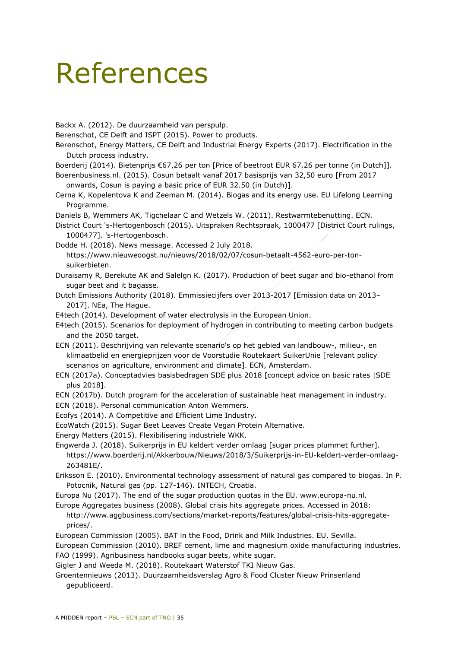## References

Backx A. (2012). De duurzaamheid van perspulp.

Berenschot, CE Delft and ISPT (2015). Power to products.

- Berenschot, Energy Matters, CE Delft and Industrial Energy Experts (2017). Electrification in the Dutch process industry.
- Boerderij (2014). Bietenprijs €67,26 per ton [Price of beetroot EUR 67.26 per tonne (in Dutch]].
- Boerenbusiness.nl. (2015). Cosun betaalt vanaf 2017 basisprijs van 32,50 euro [From 2017 onwards, Cosun is paying a basic price of EUR 32.50 (in Dutch)].
- Cerna K, Kopelentova K and Zeeman M. (2014). Biogas and its energy use. EU Lifelong Learning Programme.
- Daniels B, Wemmers AK, Tigchelaar C and Wetzels W. (2011). Restwarmtebenutting. ECN.
- District Court 's-Hertogenbosch (2015). Uitspraken Rechtspraak, 1000477 [District Court rulings, 1000477]. 's-Hertogenbosch.
- Dodde H. (2018). News message. Accessed 2 July 2018. https://www.nieuweoogst.nu/nieuws/2018/02/07/cosun-betaalt-4562-euro-per-tonsuikerbieten.
- Duraisamy R, Berekute AK and Salelgn K. (2017). Production of beet sugar and bio-ethanol from sugar beet and it bagasse.
- Dutch Emissions Authority (2018). Emmissiecijfers over 2013-2017 [Emission data on 2013– 2017]. NEa, The Hague.
- E4tech (2014). Development of water electrolysis in the European Union.
- E4tech (2015). Scenarios for deployment of hydrogen in contributing to meeting carbon budgets and the 2050 target.
- ECN (2011). Beschrijving van relevante scenario's op het gebied van landbouw-, milieu-, en klimaatbelid en energieprijzen voor de Voorstudie Routekaart SuikerUnie [relevant policy scenarios on agriculture, environment and climate]. ECN, Amsterdam.
- ECN (2017a). Conceptadvies basisbedragen SDE plus 2018 [concept advice on basic rates |SDE plus 2018].
- ECN (2017b). Dutch program for the acceleration of sustainable heat management in industry.
- ECN (2018). Personal communication Anton Wemmers.
- Ecofys (2014). A Competitive and Efficient Lime Industry.
- EcoWatch (2015). Sugar Beet Leaves Create Vegan Protein Alternative.
- Energy Matters (2015). Flexibilisering industriele WKK.
- Engwerda J. (2018). Suikerprijs in EU keldert verder omlaag [sugar prices plummet further]. https://www.boerderij.nl/Akkerbouw/Nieuws/2018/3/Suikerprijs-in-EU-keldert-verder-omlaag-263481E/.
- Eriksson E. (2010). Environmental technology assessment of natural gas compared to biogas. In P. Potocnik, Natural gas (pp. 127-146). INTECH, Croatia.

Europa Nu (2017). The end of the sugar production quotas in the EU. www.europa-nu.nl.

Europe Aggregates business (2008). Global crisis hits aggregate prices. Accessed in 2018:

http://www.aggbusiness.com/sections/market-reports/features/global-crisis-hits-aggregateprices/.

European Commission (2005). BAT in the Food, Drink and Milk Industries. EU, Sevilla.

European Commission (2010). BREF cement, lime and magnesium oxide manufacturing industries. FAO (1999). Agribusiness handbooks sugar beets, white sugar.

- Gigler J and Weeda M. (2018). Routekaart Waterstof TKI Nieuw Gas.
- Groentennieuws (2013). Duurzaamheidsverslag Agro & Food Cluster Nieuw Prinsenland gepubliceerd.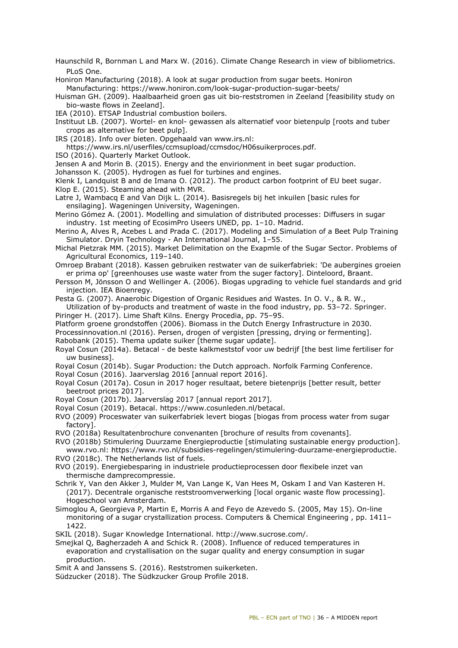- Haunschild R, Bornman L and Marx W. (2016). Climate Change Research in view of bibliometrics. PLoS One.
- Honiron Manufacturing (2018). A look at sugar production from sugar beets. Honiron Manufacturing: https://www.honiron.com/look-sugar-production-sugar-beets/

Huisman GH. (2009). Haalbaarheid groen gas uit bio-reststromen in Zeeland [feasibility study on bio-waste flows in Zeeland].

IEA (2010). ETSAP Industrial combustion boilers.

Instituut LB. (2007). Wortel- en knol- gewassen als alternatief voor bietenpulp [roots and tuber crops as alternative for beet pulp].

IRS (2018). Info over bieten. Opgehaald van www.irs.nl:

https://www.irs.nl/userfiles/ccmsupload/ccmsdoc/H06suikerproces.pdf.

ISO (2016). Quarterly Market Outlook.

Jensen A and Morin B. (2015). Energy and the envirionment in beet sugar production.

Johansson K. (2005). Hydrogen as fuel for turbines and engines.

Klenk I, Landquist B and de Imana O. (2012). The product carbon footprint of EU beet sugar. Klop E. (2015). Steaming ahead with MVR.

Latre J, Wambacq E and Van Dijk L. (2014). Basisregels bij het inkuilen [basic rules for ensilaging]. Wageningen University, Wageningen.

Merino Gómez A. (2001). Modelling and simulation of distributed processes: Diffusers in sugar industry. 1st meeting of EcosimPro Useers UNED, pp. 1–10. Madrid.

Merino A, Alves R, Acebes L and Prada C. (2017). Modeling and Simulation of a Beet Pulp Training Simulator. Dryin Technology - An International Journal, 1–55.

- Michal Pietzrak MM. (2015). Market Delimitation on the Exapmle of the Sugar Sector. Problems of Agricultural Economics, 119–140.
- Omroep Brabant (2018). Kassen gebruiken restwater van de suikerfabriek: 'De aubergines groeien er prima op' [greenhouses use waste water from the suger factory]. Dinteloord, Braant.

Persson M, Jönsson O and Wellinger A. (2006). Biogas upgrading to vehicle fuel standards and grid injection. IEA Bioenregy.

Pesta G. (2007). Anaerobic Digestion of Organic Residues and Wastes. In O. V., & R. W., Utilization of by-products and treatment of waste in the food industry, pp. 53–72. Springer.

Piringer H. (2017). Lime Shaft Kilns. Energy Procedia, pp. 75-95.

Platform groene grondstoffen (2006). Biomass in the Dutch Energy Infrastructure in 2030.

Processinnovation.nl (2016). Persen, drogen of vergisten [pressing, drying or fermenting]. Rabobank (2015). Thema update suiker [theme sugar update].

Royal Cosun (2014a). Betacal - de beste kalkmeststof voor uw bedrijf [the best lime fertiliser for uw business].

Royal Cosun (2014b). Sugar Production: the Dutch approach. Norfolk Farming Conference.

- Royal Cosun (2016). Jaarverslag 2016 [annual report 2016].
- Royal Cosun (2017a). Cosun in 2017 hoger resultaat, betere bietenprijs [better result, better beetroot prices 2017].
- Royal Cosun (2017b). Jaarverslag 2017 [annual report 2017].
- Royal Cosun (2019). Betacal. https://www.cosunleden.nl/betacal.

RVO (2009) Proceswater van suikerfabriek levert biogas [biogas from process water from sugar factory].

RVO (2018a) Resultatenbrochure convenanten [brochure of results from covenants].

RVO (2018b) Stimulering Duurzame Energieproductie [stimulating sustainable energy production]. www.rvo.nl: https://www.rvo.nl/subsidies-regelingen/stimulering-duurzame-energieproductie.

RVO (2018c). The Netherlands list of fuels.

RVO (2019). Energiebesparing in industriele productieprocessen door flexibele inzet van thermische damprecompressie.

Schrik Y, Van den Akker J, Mulder M, Van Lange K, Van Hees M, Oskam I and Van Kasteren H. (2017). Decentrale organische reststroomverwerking [local organic waste flow processing]. Hogeschool van Amsterdam.

Simoglou A, Georgieva P, Martin E, Morris A and Feyo de Azevedo S. (2005, May 15). On-line monitoring of a sugar crystallization process. Computers & Chemical Engineering, pp. 1411-1422.

SKIL (2018). Sugar Knowledge International. http://www.sucrose.com/.

Smejkal Q, Bagherzadeh A and Schick R. (2008). Influence of reduced temperatures in evaporation and crystallisation on the sugar quality and energy consumption in sugar production.

Smit A and Janssens S. (2016). Reststromen suikerketen.

Südzucker (2018). The Südkzucker Group Profile 2018.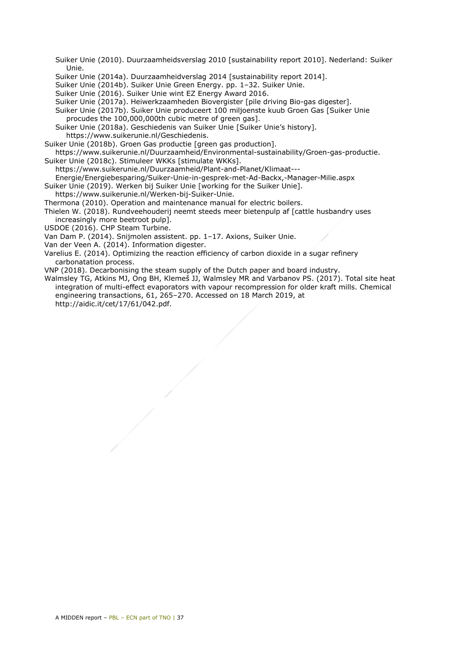Suiker Unie (2010). Duurzaamheidsverslag 2010 [sustainability report 2010]. Nederland: Suiker Unie.

- Suiker Unie (2014a). Duurzaamheidverslag 2014 [sustainability report 2014].
- Suiker Unie (2014b). Suiker Unie Green Energy. pp. 1–32. Suiker Unie.
- Suiker Unie (2016). Suiker Unie wint EZ Energy Award 2016.
- Suiker Unie (2017a). Heiwerkzaamheden Biovergister [pile driving Bio-gas digester].
- Suiker Unie (2017b). Suiker Unie produceert 100 miljoenste kuub Groen Gas [Suiker Unie procudes the 100,000,000th cubic metre of green gas].
- Suiker Unie (2018a). Geschiedenis van Suiker Unie [Suiker Unie's history].
- https://www.suikerunie.nl/Geschiedenis.
- Suiker Unie (2018b). Groen Gas productie [green gas production].
- https://www.suikerunie.nl/Duurzaamheid/Environmental-sustainability/Groen-gas-productie. Suiker Unie (2018c). Stimuleer WKKs [stimulate WKKs].
- https://www.suikerunie.nl/Duurzaamheid/Plant-and-Planet/Klimaat---

Energie/Energiebesparing/Suiker-Unie-in-gesprek-met-Ad-Backx,-Manager-Milie.aspx

- Suiker Unie (2019). Werken bij Suiker Unie [working for the Suiker Unie].
- https://www.suikerunie.nl/Werken-bij-Suiker-Unie.
- Thermona (2010). Operation and maintenance manual for electric boilers.
- Thielen W. (2018). Rundveehouderij neemt steeds meer bietenpulp af [cattle husbandry uses increasingly more beetroot pulp].
- USDOE (2016). CHP Steam Turbine.
- Van Dam P. (2014). Snijmolen assistent. pp. 1–17. Axions, Suiker Unie.
- Van der Veen A. (2014). Information digester.
- Varelius E. (2014). Optimizing the reaction efficiency of carbon dioxide in a sugar refinery carbonatation process.
- VNP (2018). Decarbonising the steam supply of the Dutch paper and board industry.
- Walmsley TG, Atkins MJ, Ong BH, Klemeš JJ, Walmsley MR and Varbanov PS. (2017). Total site heat integration of multi-effect evaporators with vapour recompression for older kraft mills. Chemical engineering transactions, 61, 265–270. Accessed on 18 March 2019, at http://aidic.it/cet/17/61/042.pdf.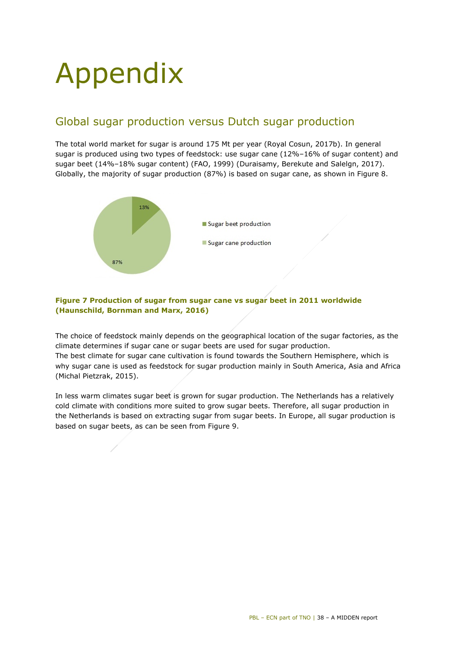## <span id="page-37-0"></span>Appendix

## Global sugar production versus Dutch sugar production

The total world market for sugar is around 175 Mt per year (Royal Cosun, 2017b). In general sugar is produced using two types of feedstock: use sugar cane (12%–16% of sugar content) and sugar beet (14%–18% sugar content) (FAO, 1999) (Duraisamy, Berekute and Salelgn, 2017). Globally, the majority of sugar production (87%) is based on sugar cane, as shown in [Figure 8.](#page-37-1)



### <span id="page-37-1"></span>**Figure 7 Production of sugar from sugar cane vs sugar beet in 2011 worldwide (Haunschild, Bornman and Marx, 2016)**

The choice of feedstock mainly depends on the geographical location of the sugar factories, as the climate determines if sugar cane or sugar beets are used for sugar production. The best climate for sugar cane cultivation is found towards the Southern Hemisphere, which is why sugar cane is used as feedstock for sugar production mainly in South America, Asia and Africa (Michal Pietzrak, 2015).

In less warm climates sugar beet is grown for sugar production. The Netherlands has a relatively cold climate with conditions more suited to grow sugar beets. Therefore, all sugar production in the Netherlands is based on extracting sugar from sugar beets. In Europe, all sugar production is based on sugar beets, as can be seen from [Figure 9.](#page-38-0)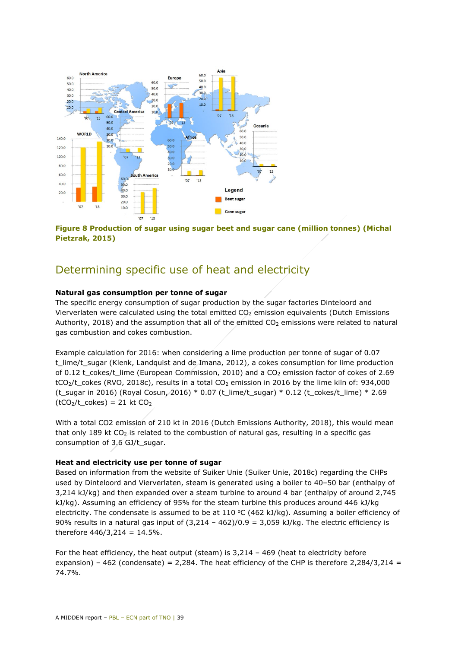

<span id="page-38-0"></span>**Figure 8 Production of sugar using sugar beet and sugar cane (million tonnes) (Michal Pietzrak, 2015)**

## Determining specific use of heat and electricity

#### **Natural gas consumption per tonne of sugar**

The specific energy consumption of sugar production by the sugar factories Dinteloord and Vierverlaten were calculated using the total emitted  $CO<sub>2</sub>$  emission equivalents (Dutch Emissions Authority, 2018) and the assumption that all of the emitted  $CO<sub>2</sub>$  emissions were related to natural gas combustion and cokes combustion.

Example calculation for 2016: when considering a lime production per tonne of sugar of 0.07 t lime/t sugar (Klenk, Landquist and de Imana, 2012), a cokes consumption for lime production of 0.12 t\_cokes/t\_lime (European Commission, 2010) and a  $CO<sub>2</sub>$  emission factor of cokes of 2.69  $tCO<sub>2</sub>/t$  cokes (RVO, 2018c), results in a total  $CO<sub>2</sub>$  emission in 2016 by the lime kiln of: 934,000 (t\_sugar in 2016) (Royal Cosun, 2016) \* 0.07 (t\_lime/t\_sugar) \* 0.12 (t\_cokes/t\_lime) \* 2.69  $(tCO<sub>2</sub>/t<sub>co</sub>ckes) = 21$  kt  $CO<sub>2</sub>$ 

With a total CO2 emission of 210 kt in 2016 (Dutch Emissions Authority, 2018), this would mean that only 189 kt  $CO<sub>2</sub>$  is related to the combustion of natural gas, resulting in a specific gas consumption of 3.6 GJ/t\_sugar.

#### **Heat and electricity use per tonne of sugar**

Based on information from the website of Suiker Unie (Suiker Unie, 2018c) regarding the CHPs used by Dinteloord and Vierverlaten, steam is generated using a boiler to 40–50 bar (enthalpy of 3,214 kJ/kg) and then expanded over a steam turbine to around 4 bar (enthalpy of around 2,745 kJ/kg). Assuming an efficiency of 95% for the steam turbine this produces around 446 kJ/kg electricity. The condensate is assumed to be at  $110\,^{\circ}C$  (462 kJ/kg). Assuming a boiler efficiency of 90% results in a natural gas input of  $(3,214 - 462)/0.9 = 3,059$  kJ/kg. The electric efficiency is therefore  $446/3,214 = 14.5\%$ .

For the heat efficiency, the heat output (steam) is 3,214 – 469 (heat to electricity before expansion) – 462 (condensate) = 2,284. The heat efficiency of the CHP is therefore 2,284/3,214 = 74.7%.